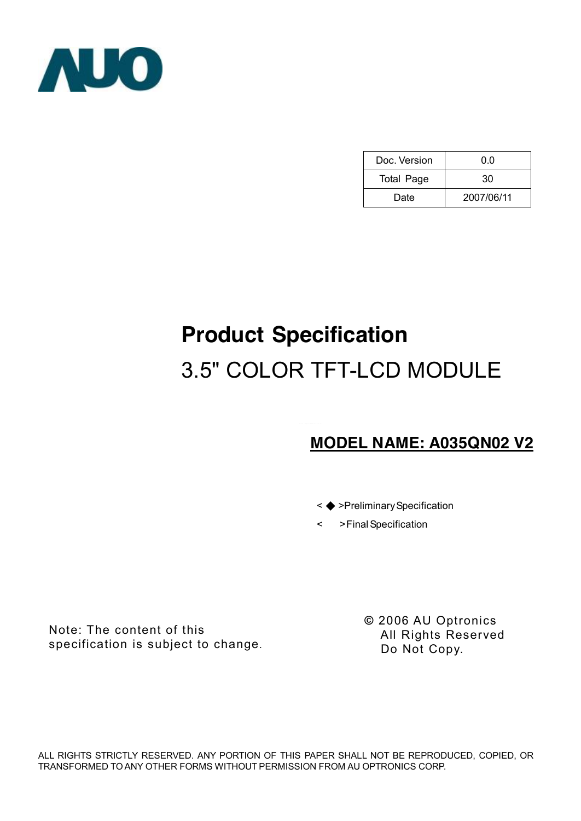

| Doc. Version      | 0.0        |
|-------------------|------------|
| <b>Total Page</b> | 30         |
| Date              | 2007/06/11 |

# **Product Specification**  3.5" COLOR TFT-LCD MODULE

# **MODEL NAME: A035QN02 V2**



< >FinalSpecification

Note: The content of this specification is subject to change. **©** 2006 AU Optronics All Rights Reserved Do Not Copy.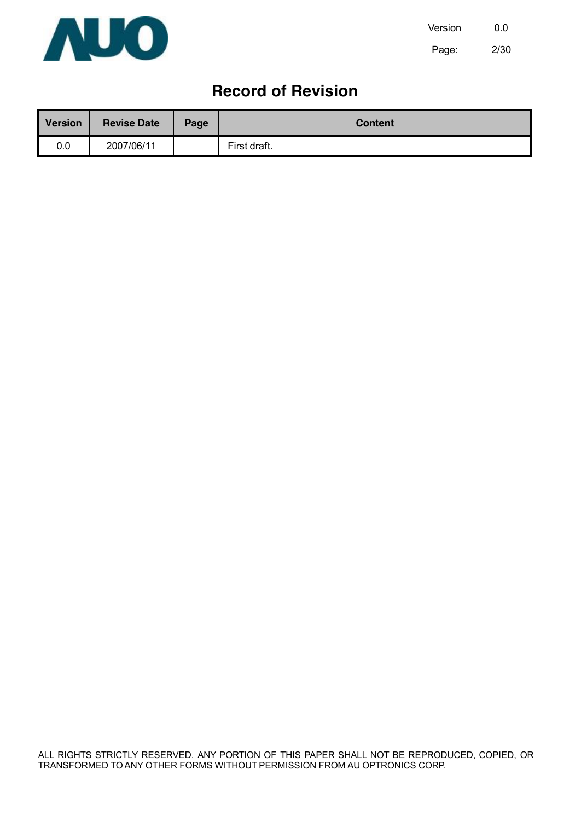

# **Record of Revision**

| <b>Version</b> | <b>Revise Date</b> | Page | <b>Content</b> |
|----------------|--------------------|------|----------------|
| 0.0            | 2007/06/11         |      | First draft.   |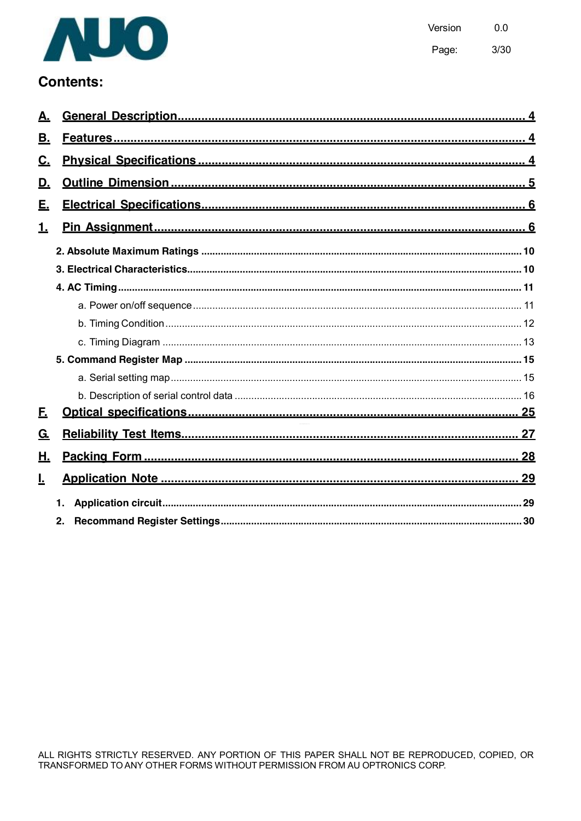

# **Contents:**

| В.        |    |  |
|-----------|----|--|
| <u>C.</u> |    |  |
| <u>D.</u> |    |  |
| Е.        |    |  |
| 1.        |    |  |
|           |    |  |
|           |    |  |
|           |    |  |
|           |    |  |
|           |    |  |
|           |    |  |
|           |    |  |
|           |    |  |
|           |    |  |
| <u>F.</u> |    |  |
| <u>G.</u> |    |  |
| Η.        |    |  |
| <u>L</u>  |    |  |
|           | 1. |  |
|           | 2. |  |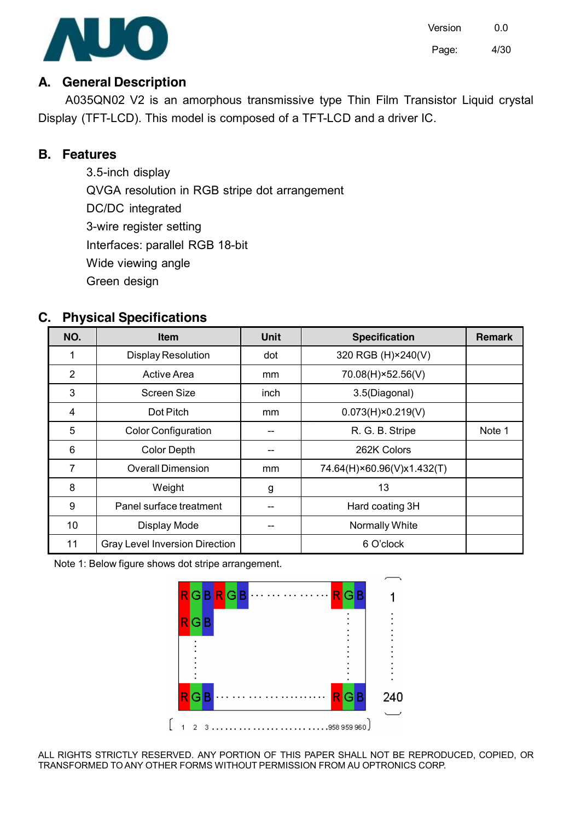

Version 0.0 Page: 4/30

### **A. General Description**

A035QN02 V2 is an amorphous transmissive type Thin Film Transistor Liquid crystal Display (TFT-LCD). This model is composed of a TFT-LCD and a driver IC.

# **B. Features**

3.5-inch display QVGA resolution in RGB stripe dot arrangement DC/DC integrated 3-wire register setting Interfaces: parallel RGB 18-bit Wide viewing angle Green design

# **C. Physical Specifications**

| NO.            | <b>Item</b>                           | <b>Unit</b> | <b>Specification</b>       | <b>Remark</b> |
|----------------|---------------------------------------|-------------|----------------------------|---------------|
| 1              | <b>Display Resolution</b>             | dot         | 320 RGB (H) × 240(V)       |               |
| $\overline{2}$ | <b>Active Area</b>                    | mm          | 70.08(H)×52.56(V)          |               |
| 3              | <b>Screen Size</b>                    | inch        | 3.5(Diagonal)              |               |
| 4              | Dot Pitch                             | mm          | $0.073(H) \times 0.219(V)$ |               |
| 5              | <b>Color Configuration</b>            |             | R. G. B. Stripe            | Note 1        |
| 6              | <b>Color Depth</b>                    |             | 262K Colors                |               |
| 7              | <b>Overall Dimension</b>              | mm          | 74.64(H)×60.96(V)x1.432(T) |               |
| 8              | Weight                                | g           | 13                         |               |
| 9              | Panel surface treatment               |             | Hard coating 3H            |               |
| 10             | Display Mode                          |             | Normally White             |               |
| 11             | <b>Gray Level Inversion Direction</b> |             | 6 O'clock                  |               |

Note 1: Below figure shows dot stripe arrangement.

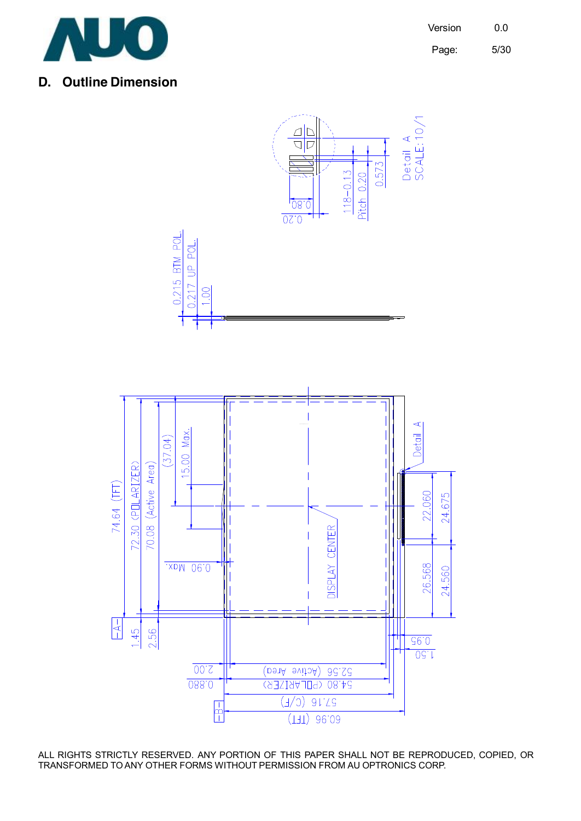

### **D. Outline Dimension**

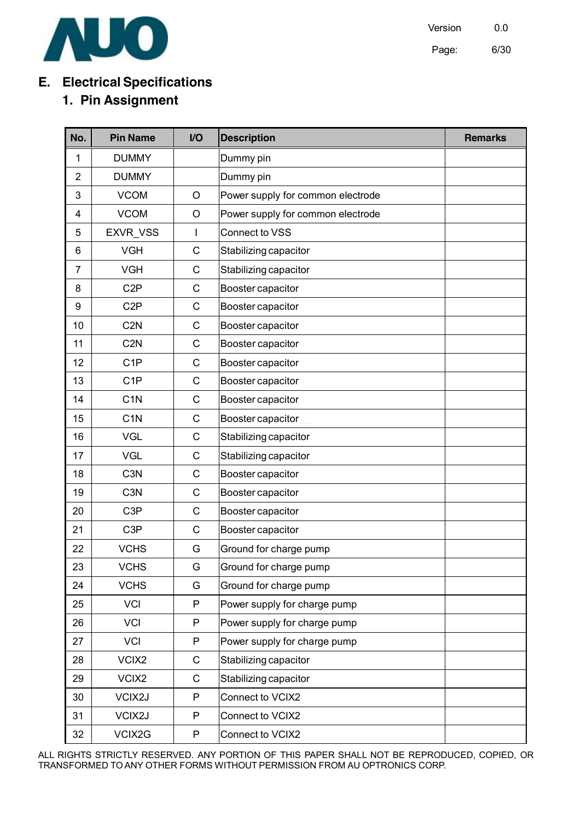

Version 0.0 Page: 6/30

# **E. Electrical Specifications**

# **1. Pin Assignment**

| No.            | <b>Pin Name</b>  | I/O          | <b>Description</b>                | <b>Remarks</b> |
|----------------|------------------|--------------|-----------------------------------|----------------|
| 1              | <b>DUMMY</b>     |              | Dummy pin                         |                |
| $\overline{2}$ | <b>DUMMY</b>     |              | Dummy pin                         |                |
| 3              | <b>VCOM</b>      | $\circ$      | Power supply for common electrode |                |
| 4              | <b>VCOM</b>      | $\circ$      | Power supply for common electrode |                |
| 5              | <b>EXVR VSS</b>  | I            | Connect to VSS                    |                |
| 6              | <b>VGH</b>       | $\mathsf C$  | Stabilizing capacitor             |                |
| $\overline{7}$ | <b>VGH</b>       | C            | Stabilizing capacitor             |                |
| 8              | C <sub>2</sub> P | C            | Booster capacitor                 |                |
| 9              | C <sub>2</sub> P | C            | Booster capacitor                 |                |
| 10             | C <sub>2</sub> N | C            | Booster capacitor                 |                |
| 11             | C <sub>2</sub> N | $\mathsf C$  | Booster capacitor                 |                |
| 12             | C <sub>1</sub> P | C            | Booster capacitor                 |                |
| 13             | C <sub>1</sub> P | C            | Booster capacitor                 |                |
| 14             | C <sub>1</sub> N | C            | Booster capacitor                 |                |
| 15             | C <sub>1</sub> N | C            | Booster capacitor                 |                |
| 16             | <b>VGL</b>       | C            | Stabilizing capacitor             |                |
| 17             | <b>VGL</b>       | C            | Stabilizing capacitor             |                |
| 18             | C <sub>3</sub> N | $\mathsf{C}$ | Booster capacitor                 |                |
| 19             | C <sub>3</sub> N | $\mathsf C$  | Booster capacitor                 |                |
| 20             | C <sub>3</sub> P | C            | Booster capacitor                 |                |
| 21             | C <sub>3</sub> P | C            | Booster capacitor                 |                |
| 22             | <b>VCHS</b>      | G            | Ground for charge pump            |                |
| 23             | <b>VCHS</b>      | G            | Ground for charge pump            |                |
| 24             | <b>VCHS</b>      | G            | Ground for charge pump            |                |
| 25             | <b>VCI</b>       | P            | Power supply for charge pump      |                |
| 26             | <b>VCI</b>       | P            | Power supply for charge pump      |                |
| 27             | <b>VCI</b>       | P            | Power supply for charge pump      |                |
| 28             | VCIX2            | $\mathsf C$  | Stabilizing capacitor             |                |
| 29             | VCIX2            | $\mathsf C$  | Stabilizing capacitor             |                |
| 30             | VCIX2J           | P            | Connect to VCIX2                  |                |
| 31             | VCIX2J           | $\mathsf{P}$ | Connect to VCIX2                  |                |
| 32             | VCIX2G           | P            | Connect to VCIX2                  |                |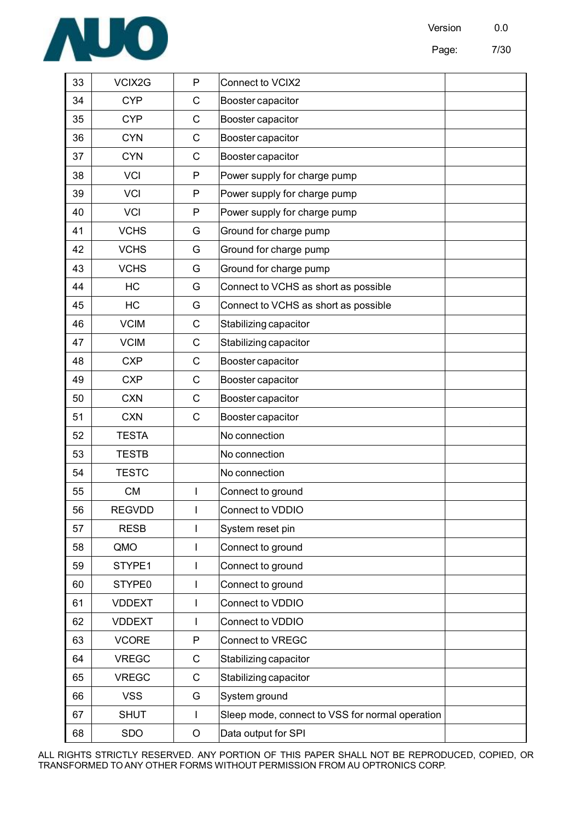

| VCIX2G<br>Connect to VCIX2<br><b>P</b>                                                                  |  |
|---------------------------------------------------------------------------------------------------------|--|
| <b>CYP</b><br>Booster capacitor                                                                         |  |
| <b>CYP</b><br>Booster capacitor                                                                         |  |
| <b>CYN</b><br>Booster capacitor                                                                         |  |
| <b>CYN</b><br>Booster capacitor                                                                         |  |
| Power supply for charge pump<br><b>VCI</b>                                                              |  |
| <b>VCI</b><br>Power supply for charge pump<br><b>P</b>                                                  |  |
| <b>VCI</b><br>P Power supply for charge pump                                                            |  |
| <b>VCHS</b><br>Ground for charge pump                                                                   |  |
| <b>VCHS</b><br>Ground for charge pump                                                                   |  |
| <b>VCHS</b><br>G Ground for charge pump                                                                 |  |
| Connect to VCHS as short as possible<br><b>HC</b>                                                       |  |
| Connect to VCHS as short as possible<br>HC                                                              |  |
| <b>VCIM</b><br>Stabilizing capacitor                                                                    |  |
| <b>VCIM</b><br>Stabilizing capacitor                                                                    |  |
| <b>CXP</b><br>Booster capacitor                                                                         |  |
| <b>CXP</b><br>Booster capacitor                                                                         |  |
| <b>CXN</b><br>Booster capacitor                                                                         |  |
| <b>CXN</b><br>Booster capacitor                                                                         |  |
| <b>TESTA</b><br>No connection                                                                           |  |
| <b>TESTB</b><br>No connection                                                                           |  |
| <b>TESTC</b><br>No connection                                                                           |  |
| CM<br>Connect to ground                                                                                 |  |
| <b>REGVDD</b><br>Connect to VDDIO                                                                       |  |
| System reset pin                                                                                        |  |
| I Connect to ground                                                                                     |  |
| THE RESE<br>Connect to ground                                                                           |  |
| Connect to ground<br>Connect to VDDIO                                                                   |  |
| I Connect to VDDIO<br><b>VDDEXT</b>                                                                     |  |
|                                                                                                         |  |
| P Connect to VREGC<br>C Stabilizing capacitor<br>C Stabilizing capacitor<br>G System ground<br>EN VOORE |  |
|                                                                                                         |  |
|                                                                                                         |  |
| <b>SHUT</b><br>Sleep mode, connect to VSS for normal operation                                          |  |
| <b>SDO</b><br>Data output for SPI                                                                       |  |
|                                                                                                         |  |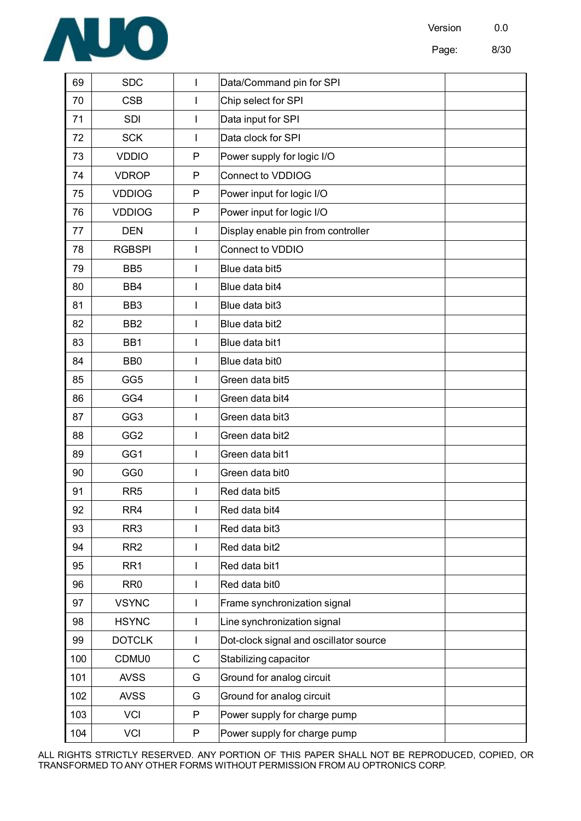

| SDC                                              | Data/Command pin for SPI                  |  |  |
|--------------------------------------------------|-------------------------------------------|--|--|
| __<br><b>CSB</b>                                 | Chip select for SPI                       |  |  |
| —<br>SDI                                         | Data input for SPI                        |  |  |
| SCK                                              | Data clock for SPI                        |  |  |
| <b>VDDIO</b>                                     | Power supply for logic I/O                |  |  |
| <b>VDROP</b>                                     | Connect to VDDIOG                         |  |  |
| <b>VDDIOG</b>                                    | Power input for logic I/O                 |  |  |
| <b>VDDIOG</b>                                    | Power input for logic I/O                 |  |  |
| <b>DEN</b>                                       | Display enable pin from controller        |  |  |
| <b>RGBSPI</b>                                    | Connect to VDDIO                          |  |  |
| BB <sub>5</sub>                                  | Blue data bit5                            |  |  |
| BB4                                              | Blue data bit4                            |  |  |
| BB <sub>3</sub>                                  | Blue data bit3                            |  |  |
| BB <sub>2</sub><br>——                            | Blue data bit2                            |  |  |
| BB1                                              | Blue data bit1                            |  |  |
| BB0                                              | Blue data bit0                            |  |  |
| GG5                                              | Green data bit5                           |  |  |
| GG4                                              | Green data bit4                           |  |  |
| GG3<br>$ -$                                      | Green data bit3                           |  |  |
| GG <sub>2</sub>                                  | Green data bit2                           |  |  |
| GG1                                              | Green data bit1                           |  |  |
| GG0                                              | Green data bit0                           |  |  |
| RR5<br>—                                         | Red data bit5                             |  |  |
| RR4<br>ו כם<br>$U$ $\sim$ $\sim$ $\sim$<br>____  | Red data bit4<br><b>Contract Contract</b> |  |  |
| RR3<br>$-3$                                      | Red data bit3                             |  |  |
| RR <sub>2</sub>                                  | Red data bit2                             |  |  |
| RR1<br>___                                       | Red data bit1                             |  |  |
| RR0<br>6  <br>——                                 | Red data bit0                             |  |  |
| <b>VSYNC</b><br>ו דו<br>$\overline{\phantom{a}}$ | Frame synchronization signal              |  |  |
| <b>HSYNC</b>                                     | Line synchronization signal               |  |  |
| <b>DOTCLK</b>                                    | Dot-clock signal and oscillator source    |  |  |
| $\frac{1}{100}$<br><b>CDMU0</b>                  | Stabilizing capacitor                     |  |  |
| $\overline{101}$<br><b>AVSS</b>                  | Ground for analog circuit                 |  |  |
| $\frac{1}{102}$<br><b>AVSS</b>                   | Ground for analog circuit<br>G            |  |  |
| $\overline{103}$<br>VCI                          | Power supply for charge pump              |  |  |
| $\overline{104}$ VCI                             | P Power supply for charge pump            |  |  |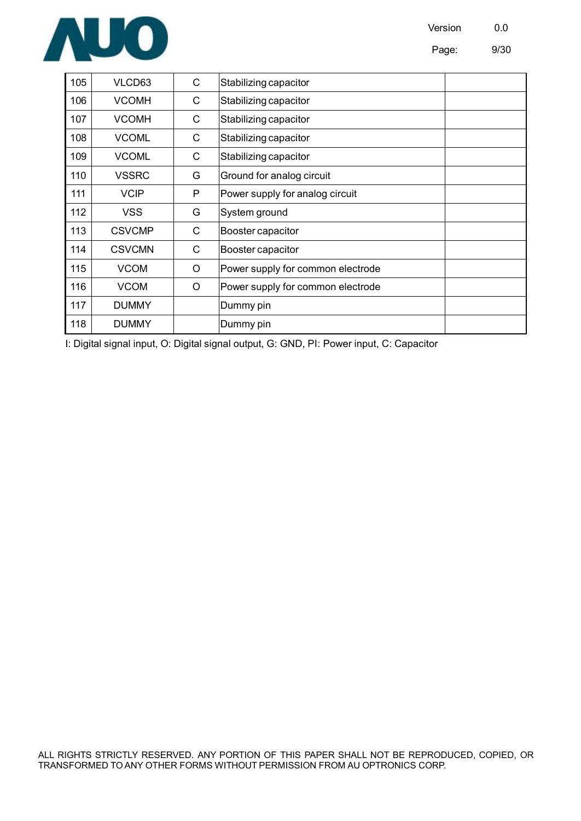



| 105 | VLCD63        | C | Stabilizing capacitor             |  |
|-----|---------------|---|-----------------------------------|--|
| 106 | <b>VCOMH</b>  | C | Stabilizing capacitor             |  |
| 107 | <b>VCOMH</b>  | C | Stabilizing capacitor             |  |
| 108 | <b>VCOML</b>  | C | Stabilizing capacitor             |  |
| 109 | <b>VCOML</b>  | C | Stabilizing capacitor             |  |
| 110 | <b>VSSRC</b>  | G | Ground for analog circuit         |  |
| 111 | <b>VCIP</b>   | P | Power supply for analog circuit   |  |
| 112 | <b>VSS</b>    | G | System ground                     |  |
| 113 | <b>CSVCMP</b> | C | Booster capacitor                 |  |
| 114 | <b>CSVCMN</b> | C | Booster capacitor                 |  |
| 115 | <b>VCOM</b>   | O | Power supply for common electrode |  |
| 116 | <b>VCOM</b>   | O | Power supply for common electrode |  |
| 117 | <b>DUMMY</b>  |   | Dummy pin                         |  |
| 118 | <b>DUMMY</b>  |   | Dummy pin                         |  |

I: Digital signal input, O: Digital signal output, G: GND, PI: Power input, C: Capacitor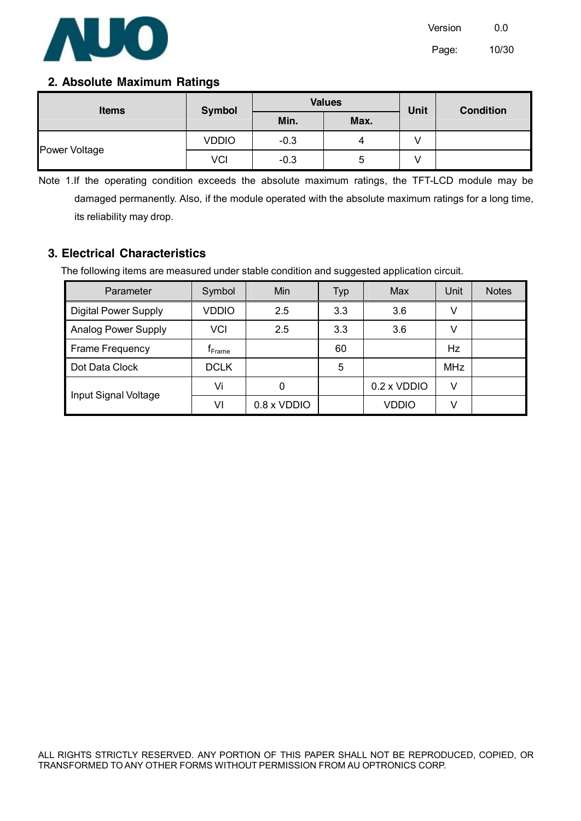

#### **2. Absolute Maximum Ratings**

| <b>Items</b>  | Symbol       |        | <b>Values</b> | <b>Unit</b> | <b>Condition</b> |  |
|---------------|--------------|--------|---------------|-------------|------------------|--|
|               |              | Min.   | Max.          |             |                  |  |
|               | <b>VDDIO</b> | $-0.3$ |               |             |                  |  |
| Power Voltage | VCI          | $-0.3$ |               |             |                  |  |

Note 1.If the operating condition exceeds the absolute maximum ratings, the TFT-LCD module may be damaged permanently. Also, if the module operated with the absolute maximum ratings for a long time, its reliability may drop.

#### **3. Electrical Characteristics**

The following items are measured under stable condition and suggested application circuit.

| Parameter                   | Symbol          | Min         | Typ | Max                | Unit       | <b>Notes</b> |
|-----------------------------|-----------------|-------------|-----|--------------------|------------|--------------|
| <b>Digital Power Supply</b> | VDDIO           | 2.5         | 3.3 | 3.6                |            |              |
| <b>Analog Power Supply</b>  | VCI             | 2.5         | 3.3 | 3.6                | v          |              |
| <b>Frame Frequency</b>      | $\sf r_{Frame}$ |             | 60  |                    | Hz.        |              |
| Dot Data Clock              | <b>DCLK</b>     |             | 5   |                    | <b>MHz</b> |              |
|                             | Vi              | 0           |     | $0.2 \times VDDIO$ | V          |              |
| Input Signal Voltage        | VI              | 0.8 x VDDIO |     | VDDIO              |            |              |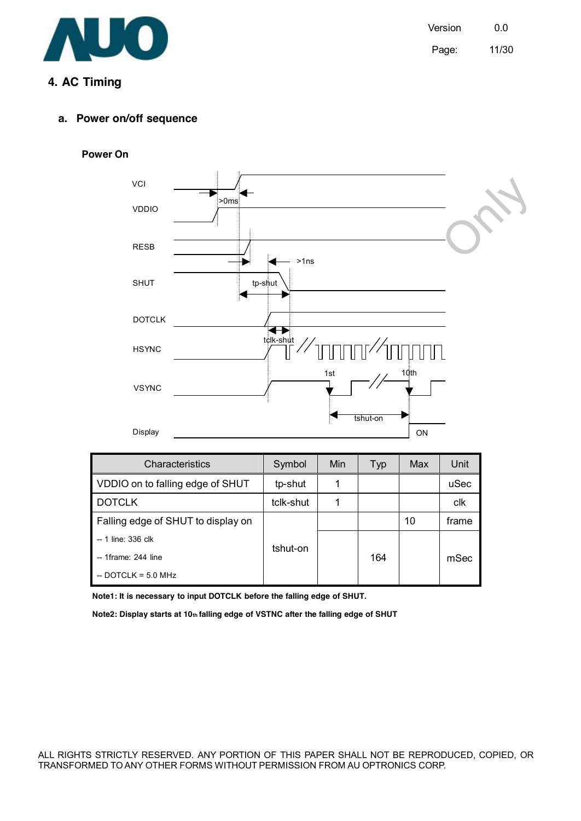

# **4. AC Timing**

#### **Power On**



| Characteristics                    | Symbol    | <b>Min</b> | Typ | Max | Unit  |
|------------------------------------|-----------|------------|-----|-----|-------|
| VDDIO on to falling edge of SHUT   | tp-shut   |            |     |     | uSec  |
| <b>DOTCLK</b>                      | tclk-shut |            |     |     | clk   |
| Falling edge of SHUT to display on |           |            |     | 10  | frame |
| -- 1 line: 336 clk                 | tshut-on  |            |     |     |       |
| -- 1frame: 244 line                |           |            | 164 |     | mSec  |
| $-$ DOTCLK = 5.0 MHz               |           |            |     |     |       |

**Note1: It is necessary to input DOTCLK before the falling edge of SHUT.** 

**Note2: Display starts at 10th falling edge of VSTNC after the falling edge of SHUT**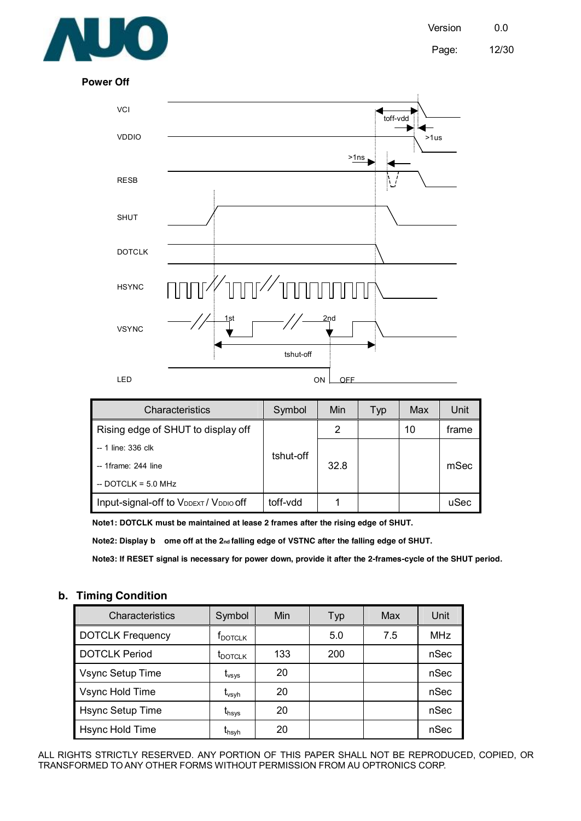

Page: 12/30

**Power Off** 



| Characteristics                        | Symbol    | <b>Min</b> | Typ | Max | Unit  |
|----------------------------------------|-----------|------------|-----|-----|-------|
| Rising edge of SHUT to display off     |           | 2          |     | 10  | frame |
| -- 1 line: 336 clk                     | tshut-off |            |     |     |       |
| $-$ 1frame: 244 line                   |           | 32.8       |     |     | mSec  |
| $-$ DOTCLK = 5.0 MHz                   |           |            |     |     |       |
| Input-signal-off to VDDEXT / VDDIO Off | toff-vdd  |            |     |     | uSec  |

**Note1: DOTCLK must be maintained at lease 2 frames after the rising edge of SHUT.** 

**Note2: Display b ome off at the 2nd falling edge of VSTNC after the falling edge of SHUT.** 

Note3: If RESET signal is necessary for power down, provide it after the 2-frames-cycle of the SHUT period.

#### **b. Timing Condition**

| Characteristics         | Symbol              | Min | Typ | Max | Unit       |
|-------------------------|---------------------|-----|-----|-----|------------|
| <b>DOTCLK Frequency</b> | $f_{\text{DOTCLK}}$ |     | 5.0 | 7.5 | <b>MHz</b> |
| <b>DOTCLK Period</b>    | t <sub>DOTCLK</sub> | 133 | 200 |     | nSec       |
| Vsync Setup Time        | $\rm t_{vsys}$      | 20  |     |     | nSec       |
| Vsync Hold Time         | $\rm t_{vsyn}$      | 20  |     |     | nSec       |
| Hsync Setup Time        | $t_{\sf hsys}$      | 20  |     |     | nSec       |
| Hsync Hold Time         | t <sub>hsyh</sub>   | 20  |     |     | nSec       |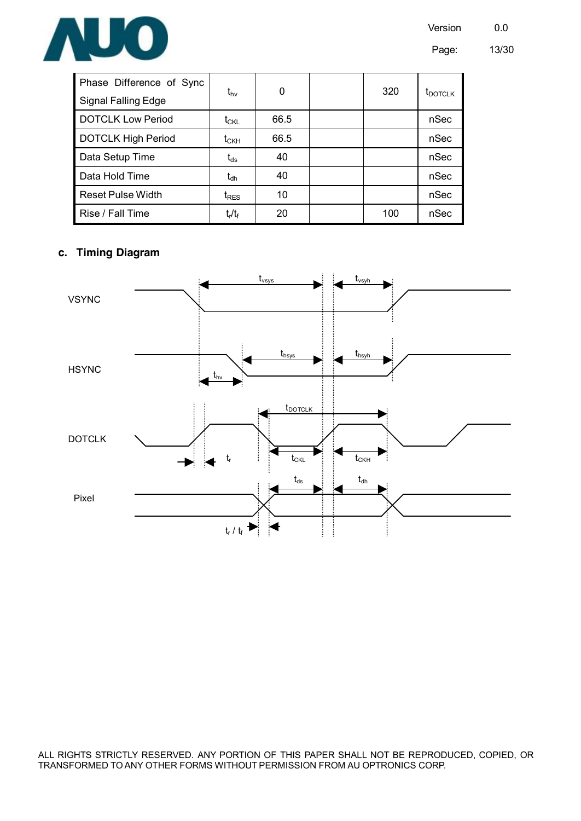



| Phase Difference of Sync  | t <sub>hv</sub>                                   | 0    | 320 | t <sub>DOTCLK</sub> |
|---------------------------|---------------------------------------------------|------|-----|---------------------|
| Signal Falling Edge       |                                                   |      |     |                     |
| <b>DOTCLK Low Period</b>  | $\mathfrak{t}_{\rm CKL}$                          | 66.5 |     | nSec                |
| <b>DOTCLK High Period</b> | $\mathfrak{t}_{\scriptscriptstyle{\mathsf{CKH}}}$ | 66.5 |     | nSec                |
| Data Setup Time           | $\rm t_{ds}$                                      | 40   |     | nSec                |
| Data Hold Time            | $\mathfrak{r}_{\!\sf d h}$                        | 40   |     | nSec                |
| <b>Reset Pulse Width</b>  | $t_{RES}$                                         | 10   |     | nSec                |
| Rise / Fall Time          | $t_r/t_f$                                         | 20   | 100 | nSec                |

#### **c. Timing Diagram**

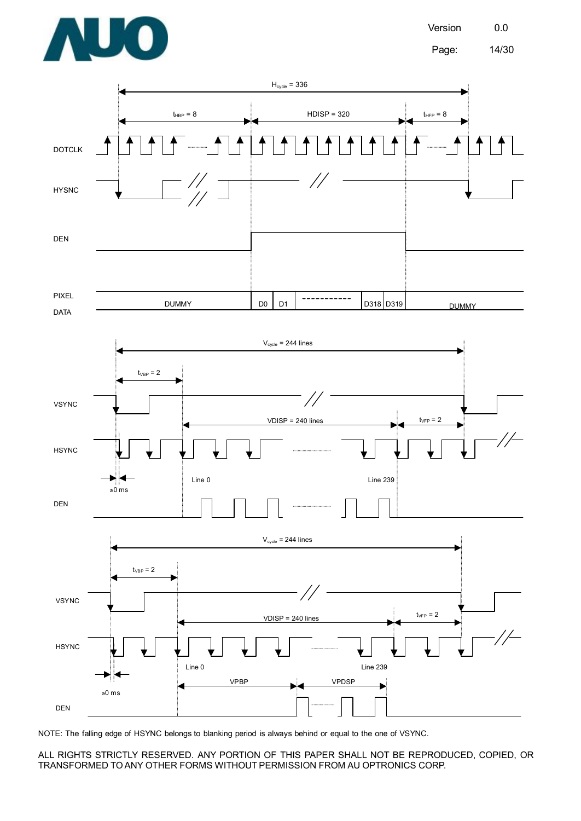





NOTE: The falling edge of HSYNC belongs to blanking period is always behind or equal to the one of VSYNC.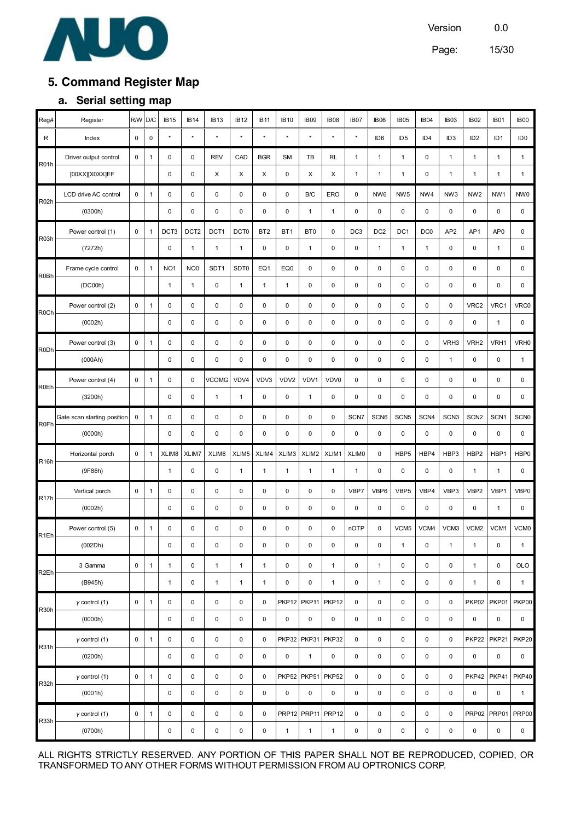

Page: 15/30

# **5. Command Register Map**

#### **a. Serial setting map**

| Reg#              | Register                    | <b>RM</b>   | D/C          | IB <sub>15</sub> | <b>IB14</b>      | <b>IB13</b>  | <b>IB12</b>      | <b>IB11</b>     | <b>IB10</b>       | IB <sub>09</sub>  | <b>IB08</b>  | IB <sub>07</sub> | <b>IB06</b>      | IB <sub>05</sub> | IB <sub>04</sub> | IB <sub>03</sub> | IB <sub>02</sub>  | IB <sub>01</sub> | <b>IB00</b>      |
|-------------------|-----------------------------|-------------|--------------|------------------|------------------|--------------|------------------|-----------------|-------------------|-------------------|--------------|------------------|------------------|------------------|------------------|------------------|-------------------|------------------|------------------|
| R                 | Index                       | 0           | $\pmb{0}$    | $\star$          | $\star$          | $\star$      | $\star$          | $\star$         | $\star$           | $\star$           | $\star$      | $\star$          | ID <sub>6</sub>  | ID <sub>5</sub>  | ID4              | ID <sub>3</sub>  | ID <sub>2</sub>   | ID <sub>1</sub>  | ID <sub>0</sub>  |
| <b>R01h</b>       | Driver output control       | $\pmb{0}$   | $\mathbf{1}$ | 0                | $\mathbf 0$      | <b>REV</b>   | CAD              | <b>BGR</b>      | <b>SM</b>         | TВ                | <b>RL</b>    | $\mathbf{1}$     | $\mathbf{1}$     | $\mathbf{1}$     | $\pmb{0}$        | 1                | $\mathbf{1}$      | $\mathbf{1}$     | $\mathbf{1}$     |
|                   | [00XX][X0XX]EF              |             |              | 0                | 0                | X            | X                | X               | 0                 | X                 | X            | $\mathbf{1}$     | $\mathbf{1}$     | $\mathbf{1}$     | $\pmb{0}$        | $\mathbf{1}$     | $\mathbf{1}$      | $\mathbf{1}$     | $\mathbf{1}$     |
| R <sub>02</sub> h | LCD drive AC control        | 0           | $\mathbf{1}$ | 0                | $\mathbf 0$      | 0            | $\mathbf 0$      | 0               | 0                 | B/C               | ERO          | $\mathbf 0$      | NW <sub>6</sub>  | NW <sub>5</sub>  | NW4              | NW <sub>3</sub>  | NW <sub>2</sub>   | NW <sub>1</sub>  | NW <sub>0</sub>  |
|                   | (0300h)                     |             |              | 0                | 0                | 0            | $\mathbf 0$      | $\pmb{0}$       | $\pmb{0}$         | $\mathbf{1}$      | $\mathbf{1}$ | $\pmb{0}$        | $\mathbf 0$      | 0                | $\pmb{0}$        | 0                | $\mathsf 0$       | $\pmb{0}$        | 0                |
| R <sub>03</sub> h | Power control (1)           | 0           | $\mathbf{1}$ | DCT3             | DCT <sub>2</sub> | DCT1         | DCT <sub>0</sub> | BT <sub>2</sub> | BT <sub>1</sub>   | BT <sub>0</sub>   | $\mathbf 0$  | DC <sub>3</sub>  | DC <sub>2</sub>  | DC1              | DC <sub>0</sub>  | AP <sub>2</sub>  | AP1               | AP <sub>0</sub>  | 0                |
|                   | (7272h)                     |             |              | 0                | $\mathbf{1}$     | $\mathbf{1}$ | $\mathbf{1}$     | $\pmb{0}$       | $\pmb{0}$         | $\mathbf{1}$      | $\pmb{0}$    | $\pmb{0}$        | $\mathbf{1}$     | $\mathbf{1}$     | $\mathbf{1}$     | 0                | 0                 | $\mathbf{1}$     | 0                |
| R0Bh              | Frame cycle control         | $\pmb{0}$   | $\mathbf{1}$ | NO <sub>1</sub>  | NO <sub>0</sub>  | SDT1         | SDT0             | EQ1             | EQ0               | 0                 | $\mathbf 0$  | $\pmb{0}$        | $\mathbf 0$      | 0                | $\pmb{0}$        | 0                | 0                 | 0                | 0                |
|                   | (DC00h)                     |             |              | $\mathbf{1}$     | $\mathbf{1}$     | 0            | $\mathbf{1}$     | $\mathbf{1}$    | $\mathbf{1}$      | 0                 | $\pmb{0}$    | $\pmb{0}$        | $\pmb{0}$        | 0                | $\pmb{0}$        | 0                | 0                 | $\mathbf 0$      | 0                |
| R <sub>0</sub> Ch | Power control (2)           | 0           | $\mathbf{1}$ | 0                | $\mathbf 0$      | 0            | $\mathbf 0$      | 0               | $\pmb{0}$         | 0                 | $\pmb{0}$    | $\pmb{0}$        | $\pmb{0}$        | 0                | $\pmb{0}$        | 0                | VRC2              | VRC1             | VRC0             |
|                   | (0002h)                     |             |              | 0                | 0                | 0            | $\mathbf 0$      | $\pmb{0}$       | $\pmb{0}$         | 0                 | $\pmb{0}$    | $\pmb{0}$        | $\mathbf 0$      | 0                | $\pmb{0}$        | $\mathsf 0$      | $\mathsf 0$       | $\mathbf{1}$     | 0                |
| <b>R0Dh</b>       | Power control (3)           | 0           | $\mathbf{1}$ | 0                | $\pmb{0}$        | 0            | $\pmb{0}$        | $\pmb{0}$       | $\pmb{0}$         | 0                 | $\pmb{0}$    | $\pmb{0}$        | $\mathsf 0$      | 0                | $\pmb{0}$        | VRH3             | VRH <sub>2</sub>  | VRH1             | VRH <sub>0</sub> |
|                   | (000Ah)                     |             |              | 0                | 0                | 0            | $\pmb{0}$        | $\mathsf 0$     | $\pmb{0}$         | 0                 | $\pmb{0}$    | $\pmb{0}$        | $\pmb{0}$        | 0                | $\pmb{0}$        | $\mathbf{1}$     | 0                 | 0                | $\mathbf{1}$     |
| <b>R0Eh</b>       | Power control (4)           | $\pmb{0}$   | $\mathbf{1}$ | 0                | $\mathbf 0$      | <b>VCOMG</b> | VDV4             | VDV3            | VDV2              | VDV1              | VDV0         | $\pmb{0}$        | $\mathbf 0$      | 0                | $\pmb{0}$        | 0                | 0                 | 0                | 0                |
|                   | (3200h)                     |             |              | 0                | 0                | $\mathbf{1}$ | $\mathbf{1}$     | 0               | $\pmb{0}$         | $\mathbf{1}$      | $\pmb{0}$    | $\mathbf 0$      | $\pmb{0}$        | 0                | $\pmb{0}$        | 0                | 0                 | $\mathbf 0$      | 0                |
| <b>R0Fh</b>       | Gate scan starting position | $\mathbf 0$ | $\mathbf{1}$ | 0                | 0                | 0            | $\mathbf 0$      | 0               | $\pmb{0}$         | 0                 | $\pmb{0}$    | SCN7             | SCN <sub>6</sub> | SCN <sub>5</sub> | SCN4             | SCN <sub>3</sub> | SCN <sub>2</sub>  | SCN <sub>1</sub> | SCN <sub>0</sub> |
|                   | (0000h)                     |             |              | 0                | $\mathbf 0$      | $\pmb{0}$    | $\pmb{0}$        | $\pmb{0}$       | $\pmb{0}$         | 0                 | $\pmb{0}$    | $\pmb{0}$        | 0                | 0                | $\pmb{0}$        | 0                | 0                 | $\pmb{0}$        | 0                |
| R <sub>16</sub> h | Horizontal porch            | 0           | $\mathbf{1}$ | XLIM8            | XLIM7            | XLIM6        | XLIM5            | XLIM4           | XLIM3             | XLIM2             | XLIM1        | XLIM0            | 0                | HBP5             | HBP4             | HBP3             | HBP2              | HBP1             | HBP0             |
|                   | (9F86h)                     |             |              | 1                | 0                | 0            | 1                | $\mathbf{1}$    | 1                 | $\mathbf{1}$      | 1            | $\mathbf{1}$     | $\pmb{0}$        | 0                | 0                | 0                | $\mathbf{1}$      | $\mathbf{1}$     | 0                |
| R <sub>17</sub> h | Vertical porch              | $\pmb{0}$   | $\mathbf{1}$ | 0                | 0                | 0            | $\pmb{0}$        | 0               | $\pmb{0}$         | 0                 | $\mathbf 0$  | VBP7             | VBP6             | VBP <sub>5</sub> | VBP4             | VBP3             | VBP2              | VBP1             | VBP0             |
|                   | (0002h)                     |             |              | 0                | 0                | 0            | $\mathbf 0$      | 0               | $\pmb{0}$         | 0                 | $\pmb{0}$    | $\mathbf 0$      | 0                | 0                | $\pmb{0}$        | 0                | 0                 | $\mathbf{1}$     | 0                |
| R <sub>1</sub> Eh | Power control (5)           | 0           | $\mathbf{1}$ | 0                | 0                | 0            | $\pmb{0}$        | 0               | $\pmb{0}$         | 0                 | $\pmb{0}$    | nOTP             | $\pmb{0}$        | VCM <sub>5</sub> | VCM4             | VCM3             | VCM <sub>2</sub>  | VCM1             | VCM <sub>0</sub> |
|                   | (002Dh)                     |             |              | 0                | 0                | $\mathbf 0$  | $\mathbf 0$      | $\pmb{0}$       | $\mathbf 0$       | $\mathbf 0$       | 0            | $\mathbf 0$      | $\mathbf 0$      | $\mathbf{1}$     | 0                | 1                | $\mathbf{1}$      | $\mathbf 0$      | $\mathbf{1}$     |
| R <sub>2</sub> Eh | 3 Gamma                     | 0           | $\mathbf{1}$ | $\mathbf{1}$     | $\mathbf 0$      | $\mathbf{1}$ | $\mathbf{1}$     | $\mathbf{1}$    | 0                 | 0                 | $\mathbf{1}$ | $\mathsf 0$      | $\mathbf{1}$     | 0                | $\pmb{0}$        | 0                | $\mathbf{1}$      | $\mathbf 0$      | <b>OLO</b>       |
|                   | (B945h)                     |             |              | $\mathbf{1}$     | $\mathbf 0$      | $\mathbf{1}$ | $\mathbf{1}$     | $\mathbf{1}$    | 0                 | 0                 | $\mathbf{1}$ | 0                | $\mathbf{1}$     | 0                | $\pmb{0}$        | 0                | $\mathbf{1}$      | $\mathbf 0$      | $\mathbf{1}$     |
| R <sub>30</sub> h | $\gamma$ control (1)        | 0           | $\mathbf{1}$ | 0                | 0                | 0            | 0                | 0               | PKP <sub>12</sub> |                   | PKP11 PKP12  | $\pmb{0}$        | 0                | 0                | $\pmb{0}$        | 0                | PKP02             | PKP01            | <b>PKP00</b>     |
|                   | (0000h)                     |             |              | 0                | 0                | 0            | $\pmb{0}$        | $\pmb{0}$       | 0                 | 0                 | $\pmb{0}$    | $\mathbf 0$      | 0                | 0                | $\pmb{0}$        | 0                | 0                 | $\pmb{0}$        | 0                |
| R31h              | $y$ control $(1)$           | 0           | $\mathbf{1}$ | 0                | 0                | 0            | $\pmb{0}$        | 0               |                   | PKP32 PKP31 PKP32 |              | $\pmb{0}$        | 0                | 0                | $\pmb{0}$        | 0                | <b>PKP22</b>      | <b>PKP21</b>     | <b>PKP20</b>     |
|                   | (0200h)                     |             |              | 0                | 0                | 0            | $\pmb{0}$        | $\pmb{0}$       | 0                 | $\mathbf{1}$      | 0            | $\pmb{0}$        | 0                | 0                | $\pmb{0}$        | 0                | 0                 | $\pmb{0}$        | 0                |
| R32h              | $\gamma$ control (1)        | 0           | $\mathbf{1}$ | 0                | $\mathsf 0$      | 0            | $\pmb{0}$        | $\pmb{0}$       | <b>PKP52</b>      | PKP51 PKP52       |              | 0                | $\pmb{0}$        | 0                | $\pmb{0}$        | 0                | PKP42             | <b>PKP41</b>     | PKP40            |
|                   | (0001h)                     |             |              | 0                | $\mathbf 0$      | 0            | 0                | 0               | 0                 | 0                 | $\pmb{0}$    | 0                | $\pmb{0}$        | 0                | $\pmb{0}$        | 0                | 0                 | 0                | $\mathbf{1}$     |
| R33h              | $\gamma$ control (1)        | 0           | $\mathbf{1}$ | 0                | 0                | 0            | $\mathbf 0$      | 0               |                   | PRP12 PRP11 PRP12 |              | $\pmb{0}$        | $\pmb{0}$        | 0                | $\pmb{0}$        | 0                | PRP <sub>02</sub> | PRP01            | PRP00            |
|                   | (0700h)                     |             |              | 0                | 0                | 0            | $\pmb{0}$        | 0               | $\mathbf{1}$      | $\mathbf{1}$      | $\mathbf{1}$ | 0                | 0                | 0                | $\pmb{0}$        | 0                | 0                 | 0                | 0                |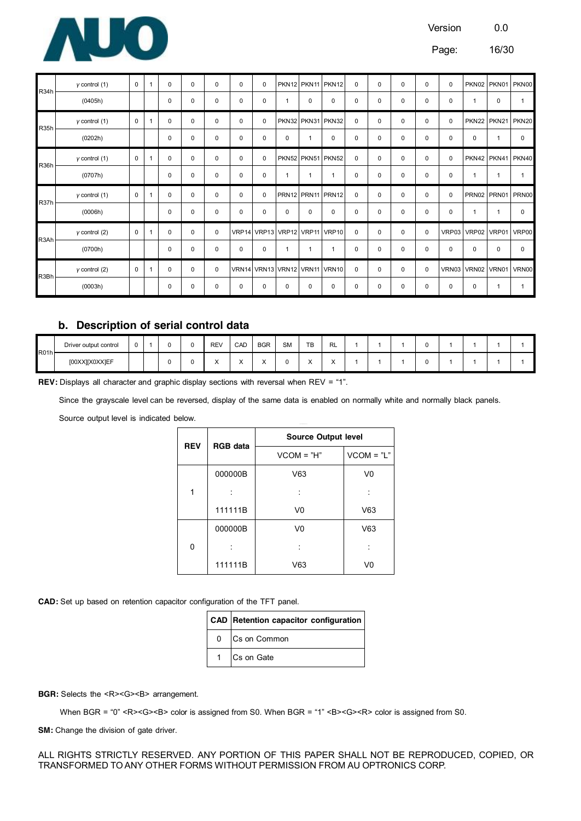

Page: 16/30

| R <sub>34</sub> h | $y$ control $(1)$    | 0           | 1            | $\Omega$ | 0 | 0 | 0           | 0           |              | PKN12 PKN11 PKN12 |                               | 0           | 0           | 0        | $\Omega$    | 0           |              |              | PKN02 PKN01 PKN00       |
|-------------------|----------------------|-------------|--------------|----------|---|---|-------------|-------------|--------------|-------------------|-------------------------------|-------------|-------------|----------|-------------|-------------|--------------|--------------|-------------------------|
|                   | (0405h)              |             |              | 0        | 0 | 0 | $\mathbf 0$ | $\mathbf 0$ | $\mathbf{1}$ | 0                 | 0                             | 0           | 0           | 0        | 0           | $\mathbf 0$ | $\mathbf{1}$ | $\mathbf 0$  |                         |
| R <sub>35</sub> h | $y$ control $(1)$    | 0           | 1            | 0        | 0 | 0 | 0           | $\mathbf 0$ |              | PKN32 PKN31 PKN32 |                               | 0           | 0           | 0        | $\mathbf 0$ | 0           |              |              | PKN22 PKN21 PKN20       |
|                   | (0202h)              |             |              | 0        | 0 | 0 | $\mathbf 0$ | $\pmb{0}$   | 0            | 1                 | 0                             | 0           | 0           | 0        | $\mathbf 0$ | 0           | 0            |              | $\Omega$                |
| R <sub>36</sub> h | $y$ control $(1)$    | $\mathbf 0$ | 1            | 0        | 0 | 0 | $\mathbf 0$ | 0           |              | PKN52 PKN51 PKN52 |                               | $\mathbf 0$ | 0           | 0        | $\mathbf 0$ | $\mathbf 0$ |              |              | PKN42 PKN41 PKN40       |
|                   | (0707h)              |             |              | 0        | 0 | 0 | 0           | $\pmb{0}$   | $\mathbf{1}$ | $\mathbf{1}$      | $\mathbf{1}$                  | 0           | 0           | 0        | 0           | 0           | 1            | $\mathbf{1}$ | 1                       |
|                   |                      |             |              |          |   |   |             |             |              |                   |                               |             |             |          |             |             |              |              |                         |
|                   | $\gamma$ control (1) | 0           | 1            | 0        | 0 | 0 | 0           | $\mathbf 0$ |              |                   | PRN12 PRN11 PRN12             | 0           | 0           | $\Omega$ | $\mathbf 0$ | 0           |              |              | PRN02 PRN01 PRN00       |
| R37h              | (0006h)              |             |              | 0        | 0 | 0 | 0           | $\pmb{0}$   | 0            | 0                 | 0                             | 0           | 0           | 0        | $\mathbf 0$ | 0           | $\mathbf{1}$ | $\mathbf{1}$ | $\Omega$                |
|                   | $\gamma$ control (2) | 0           | 1            | 0        | 0 | 0 |             |             |              |                   | VRP14 VRP13 VRP12 VRP11 VRP10 | 0           | 0           | 0        | $\mathbf 0$ |             |              |              | VRP03 VRP02 VRP01 VRP00 |
| R3Ah              | (0700h)              |             |              | 0        | 0 | 0 | $\mathbf 0$ | 0           | $\mathbf{1}$ | $\mathbf{1}$      | $\mathbf{1}$                  | 0           | 0           | $\Omega$ | $\Omega$    | 0           | $\mathbf 0$  | 0            | $\Omega$                |
| R3Bh              | $y$ control $(2)$    | $\mathbf 0$ | $\mathbf{1}$ | 0        | 0 | 0 |             |             |              |                   | VRN14 VRN13 VRN12 VRN11 VRN10 | 0           | $\mathbf 0$ | 0        | $\mathbf 0$ |             |              |              | VRN03 VRN02 VRN01 VRN00 |

#### **b. Description of serial control data**

| R01h | Driver output control | v |   | RE <sub>1</sub> | CAD<br>$\sim$ $\sim$ $\sim$ $\sim$ $\sim$ $\sim$ $\sim$ | <b>BGR</b><br>____     | <b>SM</b> | <b>TD</b><br>. . | -<br>KL        |  | v |  |  |
|------|-----------------------|---|---|-----------------|---------------------------------------------------------|------------------------|-----------|------------------|----------------|--|---|--|--|
|      | [00XX][X0XX]EF        |   | u | $\lambda$       | $\ddot{\phantom{0}}$<br>$\lambda$                       | $\lambda$<br>$\lambda$ |           |                  | $\lambda$<br>⌒ |  | v |  |  |

**REV:** Displays all character and graphic display sections with reversal when REV = "1".

Since the grayscale level can be reversed, display of the same data is enabled on normally white and normally black panels.

Source output level is indicated below.

| <b>REV</b> | <b>RGB</b> data | <b>Source Output level</b> |                |
|------------|-----------------|----------------------------|----------------|
|            |                 | $VCOM = "H"$               | $VCOM = "L"$   |
|            | 000000B         | V63                        | V <sub>0</sub> |
| 1          |                 |                            |                |
|            | 111111B         | V0                         | V63            |
|            | 000000B         | V0                         | V63            |
| 0          |                 |                            |                |
|            | 111111B         | V63                        | V0             |

**CAD:** Set up based on retention capacitor configuration of the TFT panel.

|              | CAD Retention capacitor configuration |
|--------------|---------------------------------------|
| 0            | Cs on Common                          |
| $\mathbf{1}$ | Cs on Gate                            |

**BGR:** Selects the <R><G><B> arrangement.

When BGR = "0" <R><G><B> color is assigned from S0. When BGR = "1" <B><G><R>>><B> color is assigned from S0.

**SM:** Change the division of gate driver.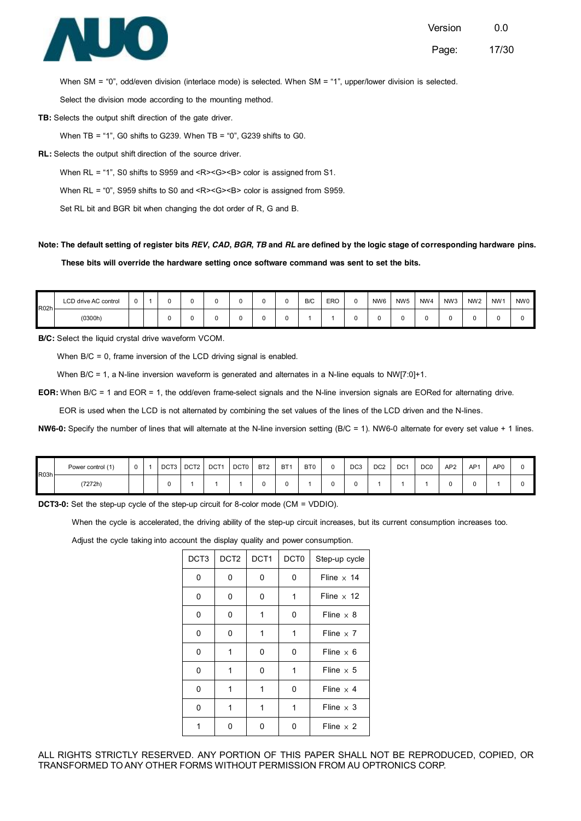

Page: 17/30

When SM = "0", odd/even division (interlace mode) is selected. When SM = "1", upper/lower division is selected.

Select the division mode according to the mounting method.

**TB:** Selects the output shift direction of the gate driver.

When TB = "1", G0 shifts to G239. When TB = "0", G239 shifts to G0.

**RL:** Selects the output shift direction of the source driver.

When RL = "1", S0 shifts to S959 and <R><G><B> color is assigned from S1.

When RL = "0", S959 shifts to S0 and <R><G><B> color is assigned from S959.

Set RL bit and BGR bit when changing the dot order of R, G and B.

#### Note: The default setting of register bits REV, CAD, BGR, TB and RL are defined by the logic stage of corresponding hardware pins.

**These bits will override the hardware setting once software command was sent to set the bits.** 

| R <sub>02h</sub> | LCD drive AC control | $\sim$ |  |  |  | B/C | ERO | NW <sub>6</sub> | NW <sub>5</sub> | NW4 | NW <sub>3</sub> | NW <sub>2</sub> | NW <sub>1</sub> | NW0 |
|------------------|----------------------|--------|--|--|--|-----|-----|-----------------|-----------------|-----|-----------------|-----------------|-----------------|-----|
|                  | (0300h)              |        |  |  |  |     |     |                 |                 |     |                 | u               |                 |     |

**B/C:** Select the liquid crystal drive waveform VCOM.

When B/C = 0, frame inversion of the LCD driving signal is enabled.

When B/C = 1, a N-line inversion waveform is generated and alternates in a N-line equals to NW[7:0]+1.

**EOR:** When B/C = 1 and EOR = 1, the odd/even frame-select signals and the N-line inversion signals are EORed for alternating drive.

EOR is used when the LCD is not alternated by combining the set values of the lines of the LCD driven and the N-lines.

NW6-0: Specify the number of lines that will alternate at the N-line inversion setting (B/C = 1). NW6-0 alternate for every set value + 1 lines.

| R03h | Power control (1) | $\Omega$ | DCT <sub>3</sub> | DCT2 | DCT <sub>1</sub> | DCT0 | BT <sub>2</sub> | BT <sub>1</sub> | BT <sub>0</sub> | DC <sub>3</sub> | DC <sub>2</sub> | DC <sub>1</sub> | DC <sub>0</sub> | AP <sub>2</sub> | AP <sub>1</sub> | AP <sub>0</sub> |  |
|------|-------------------|----------|------------------|------|------------------|------|-----------------|-----------------|-----------------|-----------------|-----------------|-----------------|-----------------|-----------------|-----------------|-----------------|--|
|      | (7272h)           |          |                  |      |                  |      |                 |                 |                 |                 |                 |                 |                 | u               | U               |                 |  |

**DCT3-0:** Set the step-up cycle of the step-up circuit for 8-color mode (CM = VDDIO).

When the cycle is accelerated, the driving ability of the step-up circuit increases, but its current consumption increases too.

Adjust the cycle taking into account the display quality and power consumption.

| DCT3 | DCT <sub>2</sub> | DCT <sub>1</sub> | DCT <sub>0</sub> | Step-up cycle     |
|------|------------------|------------------|------------------|-------------------|
| 0    | 0                | 0                | 0                | Fline $\times$ 14 |
| 0    | 0                | 0                | 1                | Fline $\times$ 12 |
| 0    | 0                | 1                | 0                | Fline $\times$ 8  |
| 0    | 0                | 1                | 1                | Fline $\times$ 7  |
| 0    | 1                | 0                | 0                | Fline $\times$ 6  |
| 0    | 1                | 0                | 1                | Fline $\times$ 5  |
| 0    | 1                | 1                | 0                | Fline $\times$ 4  |
| 0    | 1                | 1                | 1                | Fline $\times$ 3  |
| 1    | 0                | 0                | 0                | Fline $\times$ 2  |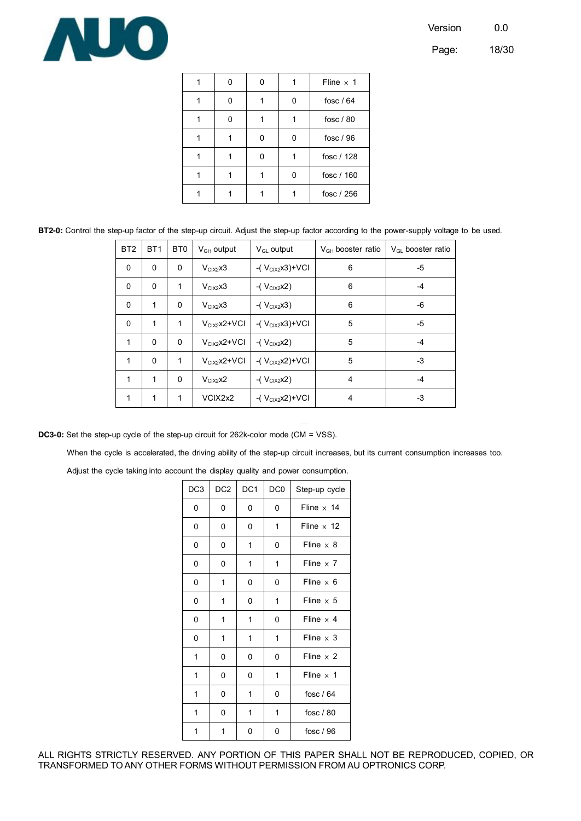

Page: 18/30

|  |  | Fline $\times$ 1 |
|--|--|------------------|
|  |  | fosc $/64$       |
|  |  | fosc / 80        |
|  |  | fosc / 96        |
|  |  | fosc / 128       |
|  |  | fosc / 160       |
|  |  | fosc / 256       |

**BT2-0:** Control the step-up factor of the step-up circuit. Adjust the step-up factor according to the power-supply voltage to be used.

| BT <sub>2</sub> | BT <sub>1</sub> | B <sub>T0</sub> | $V_{GH}$ output  | $V_{GL}$ output       | $VGH$ booster ratio | $V_{\text{GL}}$ booster ratio |
|-----------------|-----------------|-----------------|------------------|-----------------------|---------------------|-------------------------------|
| $\mathbf 0$     | 0               | 0               | $V_{CIX2}x3$     | -( $V_{CIX2}x3$ )+VCI | 6                   | -5                            |
| $\Omega$        | $\Omega$        | 1               | $VCIX2 \times 3$ | $-(V_{CIX2}x2)$       | 6                   | -4                            |
| $\mathbf 0$     | 1               | 0               | $V_{CIX2}x3$     | -( $V_{CIX2}$ $x3)$   | 6                   | -6                            |
| $\Omega$        | 1               | 1               | $V_{CIX2}X2+VCI$ | $-(V_{CIX2}x3)+VCI$   | 5                   | -5                            |
| $\mathbf{1}$    | $\Omega$        | 0               | $V_{CIX2}X2+VCI$ | -( $V_{CIX2}x2$ )     | 5                   | $-4$                          |
| 1               | $\Omega$        | 1               | $V_{CIX2}X2+VCI$ | -( $V_{CIX2}x2$ )+VCI | 5                   | -3                            |
| 1               | 1               | $\Omega$        | $V_{CIX2}$ $x2$  | -( $V_{CIX2}x2$ )     | 4                   | -4                            |
| 1               | 1               | 1               | VCIX2x2          | -( $V_{CIX2}x2$ )+VCI | 4                   | -3                            |

**DC3-0:** Set the step-up cycle of the step-up circuit for 262k-color mode (CM = VSS).

When the cycle is accelerated, the driving ability of the step-up circuit increases, but its current consumption increases too.

Adjust the cycle taking into account the display quality and power consumption.

| DC <sub>3</sub> | DC <sub>2</sub> | DC <sub>1</sub> | DC <sub>0</sub> | Step-up cycle     |
|-----------------|-----------------|-----------------|-----------------|-------------------|
| 0               | 0               | 0               | 0               | Fline $\times$ 14 |
| 0               | 0               | 0               | 1               | Fline $\times$ 12 |
| 0               | 0               | 1               | 0               | Fline $\times$ 8  |
| 0               | 0               | 1               | 1               | Fline $\times$ 7  |
| 0               | 1               | 0               | 0               | Fline $\times$ 6  |
| 0               | 1               | 0               | 1               | Fline $\times$ 5  |
| 0               | 1               | 1               | 0               | Fline $\times$ 4  |
| 0               | 1               | 1               | 1               | Fline $\times$ 3  |
| 1               | 0               | $\Omega$        | 0               | Fline $\times$ 2  |
| 1               | 0               | 0               | 1               | Fline $\times$ 1  |
| 1               | 0               | 1               | 0               | fosc $/64$        |
| 1               | 0               | 1               | 1               | fosc $/80$        |
| 1               | 1               | 0               | 0               | fosc $/96$        |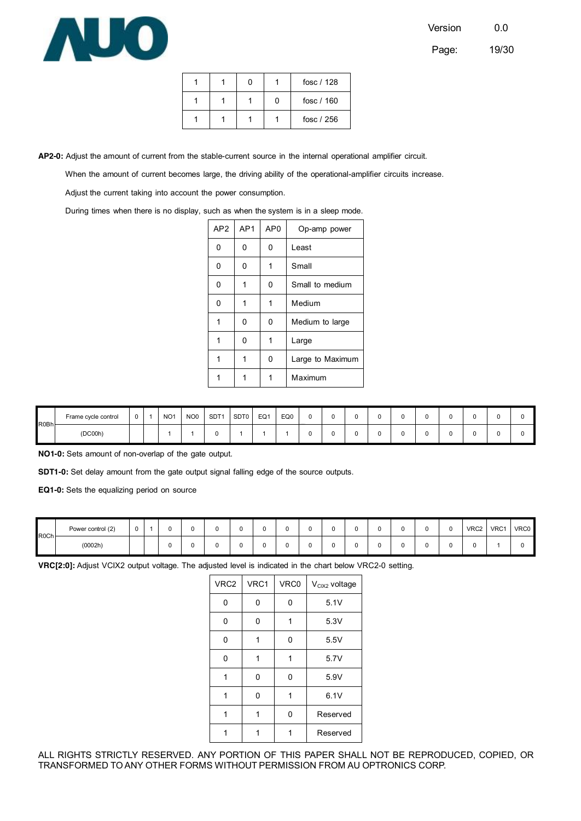

Page: 19/30

|  |  | fosc $/128$ |
|--|--|-------------|
|  |  | fosc $/160$ |
|  |  | fosc $/256$ |

**AP2-0:** Adjust the amount of current from the stable-current source in the internal operational amplifier circuit.

When the amount of current becomes large, the driving ability of the operational-amplifier circuits increase.

Adjust the current taking into account the power consumption.

During times when there is no display, such as when the system is in a sleep mode.

| AP <sub>2</sub> | AP <sub>1</sub> | AP <sub>0</sub> | Op-amp power     |
|-----------------|-----------------|-----------------|------------------|
| 0               | 0               | 0               | Least            |
| 0               | 0               | 1               | Small            |
| 0               | 1               | 0               | Small to medium  |
| 0               | 1               | 1               | Medium           |
| 1               | 0               | 0               | Medium to large  |
| 1               | 0               | 1               | Large            |
| 1               | 1               | 0               | Large to Maximum |
| 1               |                 | 1               | Maximum          |
|                 |                 |                 |                  |

| R0Bh | Frame cycle control | $\sim$<br>v | NO <sub>1</sub> | NO <sub>0</sub> | SDT <sup>-</sup> | SDT0 | EQ1 | EQ0 | u |  |  |   |  |  |
|------|---------------------|-------------|-----------------|-----------------|------------------|------|-----|-----|---|--|--|---|--|--|
|      | (DC00h)             |             |                 |                 |                  |      |     |     | u |  |  | ີ |  |  |

**NO1-0:** Sets amount of non-overlap of the gate output.

**SDT1-0:** Set delay amount from the gate output signal falling edge of the source outputs.

**EQ1-0:** Sets the equalizing period on source

| R0Ch- | Power control (2) | $\Omega$ |   |  |    |  | u |  |  | $\sim$<br>u | VRC2 | VRC1 | <b>VRC0</b> |
|-------|-------------------|----------|---|--|----|--|---|--|--|-------------|------|------|-------------|
|       | (0002h)           |          | ν |  | ъ. |  | u |  |  | u           |      |      |             |

**VRC[2:0]:** Adjust VCIX2 output voltage. The adjusted level is indicated in the chart below VRC2-0 setting.

| VRC2 | VRC1 | VRC0 | $V_{CIX2}$ voltage |
|------|------|------|--------------------|
| 0    | 0    | 0    | 5.1V               |
| 0    | 0    | 1    | 5.3V               |
| 0    | 1    | 0    | 5.5V               |
| 0    | 1    | 1    | 5.7V               |
| 1    | 0    | 0    | 5.9V               |
| 1    | 0    | 1    | 6.1V               |
| 1    | 1    | 0    | Reserved           |
|      |      |      | Reserved           |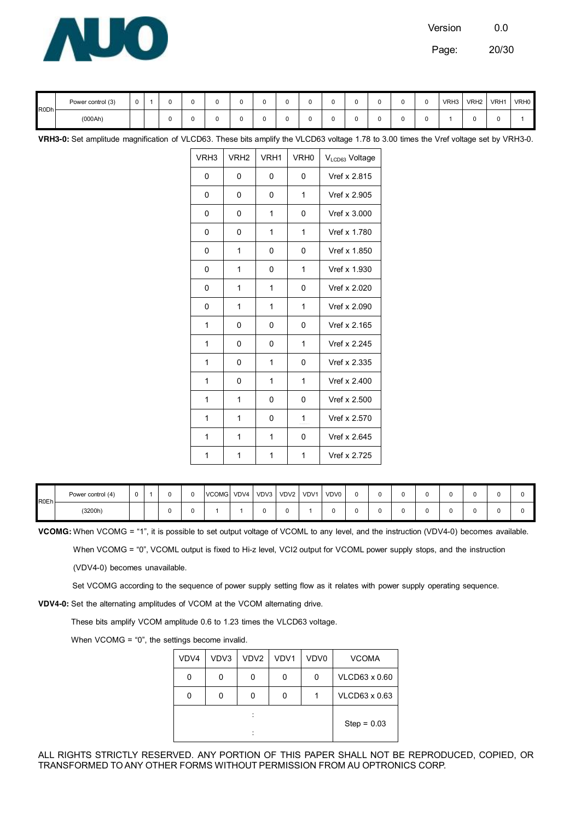

Page: 20/30

| R0Dh- | Power control (3) | u |  |   |  |  |  |  |  | VRH3 | VRH <sub>2</sub> | VRH1 | VRH0 |
|-------|-------------------|---|--|---|--|--|--|--|--|------|------------------|------|------|
|       | (000Ah)           |   |  | u |  |  |  |  |  |      |                  |      |      |

**VRH3-0:** Set amplitude magnification of VLCD63. These bits amplify the VLCD63 voltage 1.78 to 3.00 times the Vref voltage set by VRH3-0.

| VRH <sub>3</sub> | VRH <sub>2</sub> | VRH1 | VRH <sub>0</sub> | V <sub>LCD63</sub> Voltage |
|------------------|------------------|------|------------------|----------------------------|
| 0                | 0                | 0    | 0                | Vref x 2.815               |
| 0                | 0                | 0    | 1                | Vref x 2.905               |
| 0                | 0                | 1    | 0                | Vref x 3.000               |
| 0                | 0                | 1    | 1                | Vref x 1.780               |
| 0                | 1                | 0    | 0                | Vref x 1.850               |
| 0                | 1                | 0    | 1                | Vref x 1.930               |
| 0                | 1                | 1    | 0                | Vref x 2.020               |
| 0                | 1                | 1    | 1                | Vref x 2.090               |
| 1                | 0                | 0    | $\mathbf{0}$     | Vref x 2.165               |
| 1                | 0                | 0    | 1                | Vref x 2.245               |
| 1                | 0                | 1    | 0                | Vref x 2.335               |
| 1                | 0                | 1    | 1                | Vref x 2.400               |
| 1                | 1                | 0    | 0                | Vref x 2.500               |
| 1                | 1                | 0    | 1                | Vref x 2.570               |
| 1                | 1                | 1    | 0                | Vref x 2.645               |
| 1                | 1                | 1    | 1                | Vref x 2.725               |

| <b>R0Eh</b> | Power control (4) |  |  | VCOMG VDV4 |  | VDV3 VDV2 VDV1 | VDV0 |  |  |  |  |
|-------------|-------------------|--|--|------------|--|----------------|------|--|--|--|--|
|             | (3200h)           |  |  |            |  |                |      |  |  |  |  |

**VCOMG:** When VCOMG = "1", it is possible to set output voltage of VCOML to any level, and the instruction (VDV4-0) becomes available.

When VCOMG = "0", VCOML output is fixed to Hi-z level, VCI2 output for VCOML power supply stops, and the instruction

(VDV4-0) becomes unavailable.

Set VCOMG according to the sequence of power supply setting flow as it relates with power supply operating sequence.

**VDV4-0:** Set the alternating amplitudes of VCOM at the VCOM alternating drive.

These bits amplify VCOM amplitude 0.6 to 1.23 times the VLCD63 voltage.

When VCOMG = "0", the settings become invalid.

| VDV4 | VDV3 | VDV <sub>2</sub> | VDV1 | VDV0 | <b>VCOMA</b>  |
|------|------|------------------|------|------|---------------|
| 0    | 0    | 0                | 0    | 0    | VLCD63 x 0.60 |
|      | 0    | 0                | 0    |      | VLCD63 x 0.63 |
|      |      |                  |      |      | $Step = 0.03$ |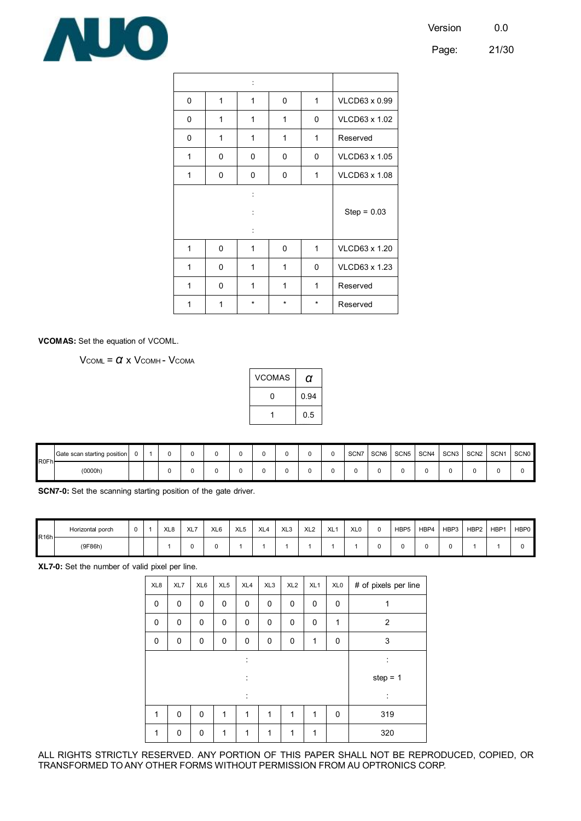Page: 21/30



| 0 | 1 | 1                                | 0 | 1 | VLCD63 x 0.99 |  |  |
|---|---|----------------------------------|---|---|---------------|--|--|
| 0 | 1 | 1                                | 1 | 0 | VLCD63 x 1.02 |  |  |
| 0 | 1 | 1                                | 1 | 1 | Reserved      |  |  |
| 1 | 0 | 0                                | 0 | 0 | VLCD63 x 1.05 |  |  |
| 1 | 0 | 0                                | 0 | 1 | VLCD63 x 1.08 |  |  |
|   |   | $\ddot{\cdot}$<br>$\ddot{\cdot}$ |   |   | $Step = 0.03$ |  |  |
| 1 | 0 | 1                                | 0 | 1 | VLCD63 x 1.20 |  |  |
| 1 | 0 | 1                                | 1 | 0 | VLCD63 x 1.23 |  |  |
| 1 | 0 | 1                                | 1 | 1 | Reserved      |  |  |
| 1 | 1 | $\ast$<br>$\star$<br>*           |   |   | Reserved      |  |  |

**VCOMAS:** Set the equation of VCOML.

V<sub>COML</sub> = *α* x V<sub>COMH</sub> - V<sub>COMA</sub>

| <b>VCOMAS</b> | a    |
|---------------|------|
| 0             | 0.94 |
|               | 0.5  |

| R0Fh- | Gate scan starting position |  |  |  |  |  | SCN7 | SCN6 | SCN <sub>5</sub> | SCN4 | SCN3 SCN2 | SCN <sub>1</sub> | <b>SCN0</b> |
|-------|-----------------------------|--|--|--|--|--|------|------|------------------|------|-----------|------------------|-------------|
|       | (0000h)                     |  |  |  |  |  |      |      |                  |      |           |                  |             |

**SCN7-0:** Set the scanning starting position of the gate driver.

| <b>R16h</b> | Horizontal porch |  | XL <sub>8</sub> | XL7 | XL <sub>6</sub> | XL <sub>5</sub> | XL <sub>4</sub> | XL <sub>3</sub> | XL <sub>2</sub> | XL <sup>-</sup> | XL <sub>0</sub> | HBP <sub>5</sub> | HBP4 | HBP3 | HBP2 | HBP <sup>1</sup> | HBP0 |
|-------------|------------------|--|-----------------|-----|-----------------|-----------------|-----------------|-----------------|-----------------|-----------------|-----------------|------------------|------|------|------|------------------|------|
|             | (9F86h)          |  |                 |     |                 |                 |                 |                 |                 |                 |                 |                  |      |      |      |                  |      |

**XL7-0:** Set the number of valid pixel per line.

| XL8 | XL7         | XL6      | XL <sub>5</sub> | XL4          | XL <sub>3</sub> | XL <sub>2</sub> | XL <sub>1</sub> | XL <sub>0</sub> | # of pixels per line |
|-----|-------------|----------|-----------------|--------------|-----------------|-----------------|-----------------|-----------------|----------------------|
| 0   | $\mathbf 0$ | 0        | 0               | 0            | 0               | 0               | 0               | 0               | 1                    |
| 0   | 0           | $\Omega$ | 0               | 0            | 0               | 0               | 0               | 1               | $\overline{2}$       |
| 0   | 0           | 0        | 0               | 0            | 0               | 0               | $\mathbf{1}$    | 0               | 3                    |
|     |             |          |                 | :            |                 |                 |                 |                 | ÷                    |
|     |             |          |                 | :            |                 |                 |                 |                 | step = $1$           |
|     |             |          |                 | t            |                 |                 |                 |                 | ÷                    |
| 1   | 0           | 0        | 1               | $\mathbf{1}$ | 1               | $\mathbf{1}$    | $\mathbf{1}$    | 0               | 319                  |
| 1   | $\mathbf 0$ | 0        | 1               | 1            | 1               | $\mathbf{1}$    | 1               |                 | 320                  |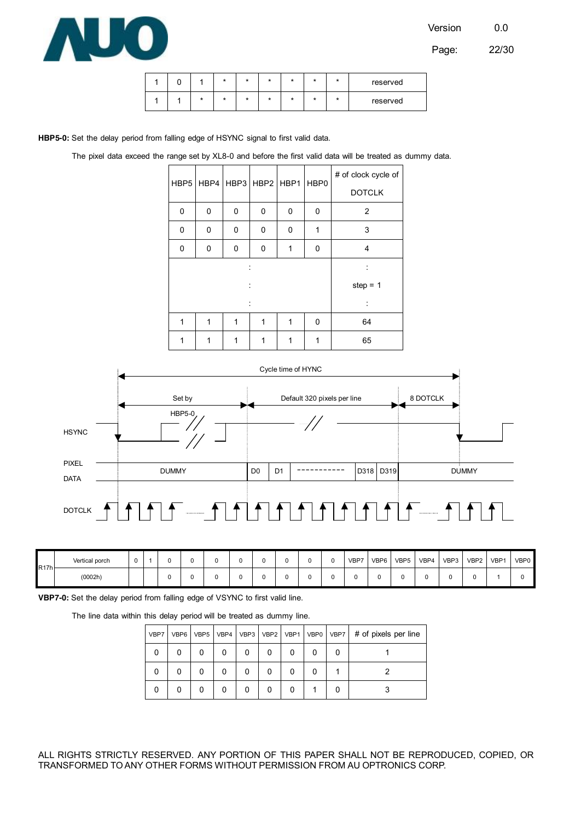

Page: 22/30

|  |         | * | ÷ |  | × | reserved |
|--|---------|---|---|--|---|----------|
|  | $\star$ | * | ÷ |  | ÷ | reserved |

**HBP5-0:** Set the delay period from falling edge of HSYNC signal to first valid data.

|  | The pixel data exceed the range set by XL8-0 and before the first valid data will be treated as dummy data. |  |  |  |  |  |  |  |  |  |  |  |  |  |  |  |  |
|--|-------------------------------------------------------------------------------------------------------------|--|--|--|--|--|--|--|--|--|--|--|--|--|--|--|--|
|--|-------------------------------------------------------------------------------------------------------------|--|--|--|--|--|--|--|--|--|--|--|--|--|--|--|--|

|   |   | HBP5   HBP4   HBP3   HBP2   HBP1 |   |   | HBP0 | # of clock cycle of |
|---|---|----------------------------------|---|---|------|---------------------|
|   |   |                                  |   |   |      | <b>DOTCLK</b>       |
| 0 | 0 | 0                                | 0 | 0 | 0    | $\overline{2}$      |
| 0 | 0 | 0                                | 0 | 0 | 1    | 3                   |
| 0 | 0 | 0                                | 0 | 1 | 0    | 4                   |
|   |   |                                  |   |   |      |                     |
|   |   |                                  |   |   |      | step = $1$          |
|   |   |                                  |   |   |      |                     |
| 1 | 1 | 1                                | 1 | 1 | 0    | 64                  |
| 1 | 1 | 1                                | 1 | 1 | 1    | 65                  |



| R17h | Vertical porch |  |  |  |  |  | VBP7 | VBP6 | VBP <sub>5</sub> | VBP4 | VBP3 | VBP <sub>2</sub> | VBP <sup>-</sup> | VBP0 |
|------|----------------|--|--|--|--|--|------|------|------------------|------|------|------------------|------------------|------|
|      | (0002h)        |  |  |  |  |  |      |      |                  |      |      |                  |                  |      |

**VBP7-0:** Set the delay period from falling edge of VSYNC to first valid line.

The line data within this delay period will be treated as dummy line.

| VBP7 | VBP6 | VBP <sub>5</sub> | VBP4 |   |  | VBP3   VBP2   VBP1   VBP0   VBP7 | # of pixels per line |
|------|------|------------------|------|---|--|----------------------------------|----------------------|
| 0    | 0    | 0                | 0    | 0 |  |                                  |                      |
|      |      | 0                |      | 0 |  |                                  |                      |
| 0    |      | 0                | 0    | 0 |  |                                  |                      |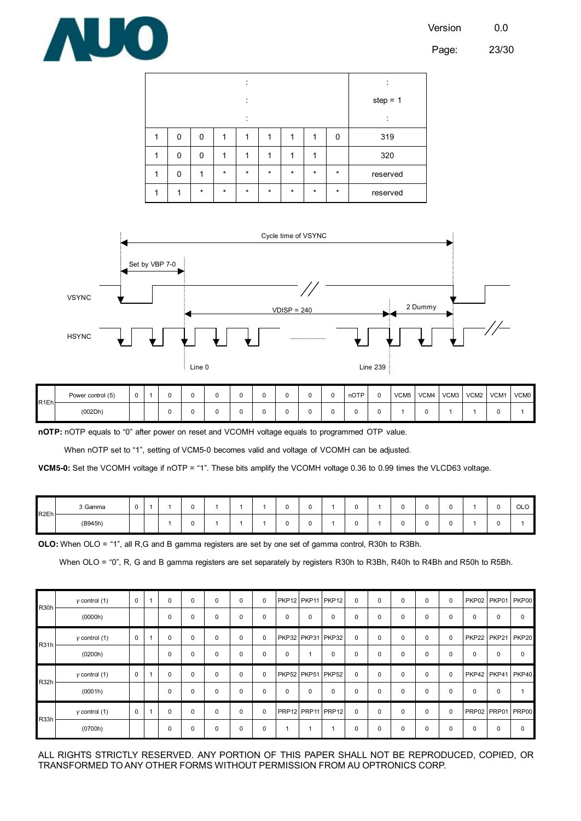

|          |          |         | ٠       |         |         |         |         | ٠          |
|----------|----------|---------|---------|---------|---------|---------|---------|------------|
|          |          |         | ٠       |         |         |         |         | step = $1$ |
|          |          |         | ٠       |         |         |         |         | $\cdot$    |
| 0        | 0        | 1       | 1       | 1       | 1       | 1       | 0       | 319        |
| $\Omega$ | $\Omega$ |         |         | 1       | 1       | 1       |         | 320        |
| $\Omega$ | 1        | $\star$ | $\star$ | $\star$ | $\star$ | $\star$ | $\star$ | reserved   |
| и        | $\star$  | $\star$ | $\star$ | $\star$ | $\star$ | $\star$ | $\star$ | reserved   |



| R <sub>1Eh</sub> | Power control (5) |  |  |  |  |  | nOTP | c | VCM <sub>5</sub> | VCM4 | VCM3 | 3 VCM2 VCM1 | VCM <sub>0</sub> |
|------------------|-------------------|--|--|--|--|--|------|---|------------------|------|------|-------------|------------------|
|                  | (002Dh)           |  |  |  |  |  |      |   |                  |      |      |             |                  |

**nOTP:** nOTP equals to "0" after power on reset and VCOMH voltage equals to programmed OTP value.

When nOTP set to "1", setting of VCM5-0 becomes valid and voltage of VCOMH can be adjusted.

**VCM5-0:** Set the VCOMH voltage if nOTP = "1". These bits amplify the VCOMH voltage 0.36 to 0.99 times the VLCD63 voltage.

| R <sub>2Eh</sub> | 3 Gamma | v |  |  |  |  |  |  | u | $\sqrt{2}$<br>v |  | $\sim$<br>ULU |
|------------------|---------|---|--|--|--|--|--|--|---|-----------------|--|---------------|
|                  | (B945h) |   |  |  |  |  |  |  | u | u               |  |               |

**OLO:** When OLO = "1", all R,G and B gamma registers are set by one set of gamma control, R30h to R3Bh.

When OLO = "0", R, G and B gamma registers are set separately by registers R30h to R3Bh, R40h to R4Bh and R50h to R5Bh.

| R <sub>30</sub> h | $y$ control $(1)$ | 0        | × | 0 | 0        | $\Omega$ | 0        | 0           |             |   | PKP12 PKP11 PKP12 | 0 | 0        | 0 | $\Omega$ | 0           | PKP02 PKP01 PKP00 |                   |   |
|-------------------|-------------------|----------|---|---|----------|----------|----------|-------------|-------------|---|-------------------|---|----------|---|----------|-------------|-------------------|-------------------|---|
|                   | (0000h)           |          |   | 0 | 0        | $\Omega$ | 0        | 0           | $\mathbf 0$ | 0 | $\Omega$          | 0 | $\Omega$ | 0 | $\Omega$ | 0           | $\Omega$          | $\Omega$          | 0 |
| <b>R31h</b>       | $y$ control (1)   | 0        |   | 0 | $\Omega$ | 0        | $\Omega$ | 0           |             |   | PKP32 PKP31 PKP32 | 0 | $\Omega$ | 0 | $\Omega$ | $\mathbf 0$ | PKP22 PKP21 PKP20 |                   |   |
|                   | (0200h)           |          |   | 0 | 0        | $\Omega$ | $\Omega$ | 0           | 0           |   | $\Omega$          | 0 | $\Omega$ | 0 | $\Omega$ | $\mathbf 0$ | 0                 | 0                 | 0 |
| R <sub>32</sub> h | $y$ control $(1)$ | $\Omega$ |   | 0 | 0        | $\Omega$ | $\Omega$ | $\mathbf 0$ |             |   | PKP52 PKP51 PKP52 | 0 | $\Omega$ | 0 | $\Omega$ | $\mathbf 0$ |                   | PKP42 PKP41 PKP40 |   |
|                   | (0001h)           |          |   | 0 | 0        | $\Omega$ | 0        | 0           | $\mathbf 0$ | 0 | 0                 | 0 | $\Omega$ | 0 | $\Omega$ | 0           | 0                 | 0                 |   |
| <b>R33h</b>       | $y$ control $(1)$ | 0        |   | 0 | $\Omega$ | $\Omega$ | $\Omega$ | $\mathbf 0$ |             |   | PRP12 PRP11 PRP12 | 0 | $\Omega$ | 0 | $\Omega$ | $\mathbf 0$ | PRP02 PRP01 PRP00 |                   |   |
|                   | (0700h)           |          |   | 0 | 0        | $\Omega$ | 0        | 0           |             |   |                   | 0 | $\Omega$ | 0 | $\Omega$ | 0           | 0                 | 0                 | 0 |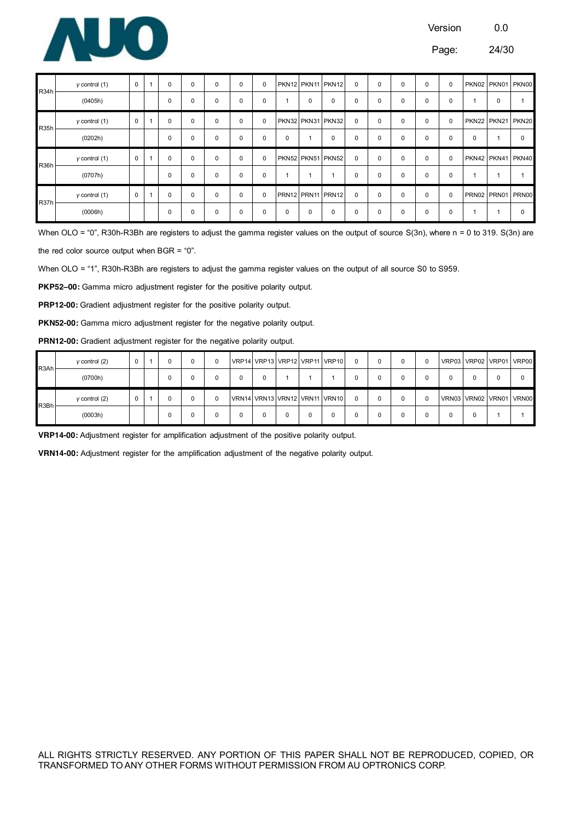

| R <sub>34</sub> h | $y$ control $(1)$ | 0 | 0 | 0        | 0        | 0        | 0           |   |                | PKN12 PKN11 PKN12 | $\mathbf 0$ | $\Omega$ | $\Omega$ | $\mathbf 0$ | 0           |          | PKN02 PKN01 PKN00 |   |
|-------------------|-------------------|---|---|----------|----------|----------|-------------|---|----------------|-------------------|-------------|----------|----------|-------------|-------------|----------|-------------------|---|
|                   | (0405h)           |   | 0 | $\Omega$ | 0        | 0        | 0           |   | $\mathbf 0$    | $\mathbf 0$       | $\mathbf 0$ | 0        | 0        | $\mathbf 0$ | 0           |          | 0                 |   |
| <b>R35h</b>       | $y$ control $(1)$ | 0 | 0 | $\Omega$ | 0        | 0        | 0           |   |                | PKN32 PKN31 PKN32 | 0           | 0        | 0        | 0           | 0           |          | PKN22 PKN21 PKN20 |   |
|                   | (0202h)           |   | 0 | $\Omega$ | $\Omega$ | $\Omega$ | 0           | 0 | $\overline{ }$ | $\mathbf 0$       | $\mathbf 0$ | $\Omega$ | $\Omega$ | $\mathbf 0$ | 0           | $\Omega$ |                   | 0 |
|                   |                   |   |   |          |          |          |             |   |                |                   |             |          |          |             |             |          |                   |   |
|                   | $y$ control $(1)$ | 0 | 0 | $\Omega$ | $\Omega$ | $\Omega$ | 0           |   |                | PKN52 PKN51 PKN52 | $\Omega$    | $\Omega$ | $\Omega$ | 0           | 0           |          | PKN42 PKN41 PKN40 |   |
| R <sub>36</sub> h | (0707h)           |   | 0 | 0        | 0        | 0        | 0           |   |                |                   | 0           | 0        | $\Omega$ | $\mathbf 0$ | 0           |          |                   |   |
| R37h              | $y$ control $(1)$ | 0 | 0 | 0        | 0        | $\Omega$ | $\mathbf 0$ |   |                | PRN12 PRN11 PRN12 | $\Omega$    | $\Omega$ | $\Omega$ | $\mathbf 0$ | $\mathbf 0$ |          | PRN02 PRN01 PRN00 |   |

When OLO = "0", R30h-R3Bh are registers to adjust the gamma register values on the output of source S(3n), where n = 0 to 319. S(3n) are the red color source output when BGR = "0".

When OLO = "1", R30h-R3Bh are registers to adjust the gamma register values on the output of all source S0 to S959.

**PKP52–00:** Gamma micro adjustment register for the positive polarity output.

PRP12-00: Gradient adjustment register for the positive polarity output.

PKN52-00: Gamma micro adjustment register for the negative polarity output.

PRN12-00: Gradient adjustment register for the negative polarity output.

| R3Ah  | $\gamma$ control (2) |  |  |  |   |  | VRP14 VRP13 VRP12 VRP11 VRP10 |  |  | VRP03 VRP02 VRP01 VRP00 |  |  |
|-------|----------------------|--|--|--|---|--|-------------------------------|--|--|-------------------------|--|--|
|       | (0700h)              |  |  |  | 0 |  |                               |  |  | 0                       |  |  |
| R3Bhl | $y$ control $(2)$    |  |  |  |   |  | VRN14 VRN13 VRN12 VRN11 VRN10 |  |  | VRN03 VRN02 VRN01 VRN00 |  |  |
|       |                      |  |  |  |   |  |                               |  |  |                         |  |  |

**VRP14-00:** Adjustment register for amplification adjustment of the positive polarity output.

**VRN14-00:** Adjustment register for the amplification adjustment of the negative polarity output.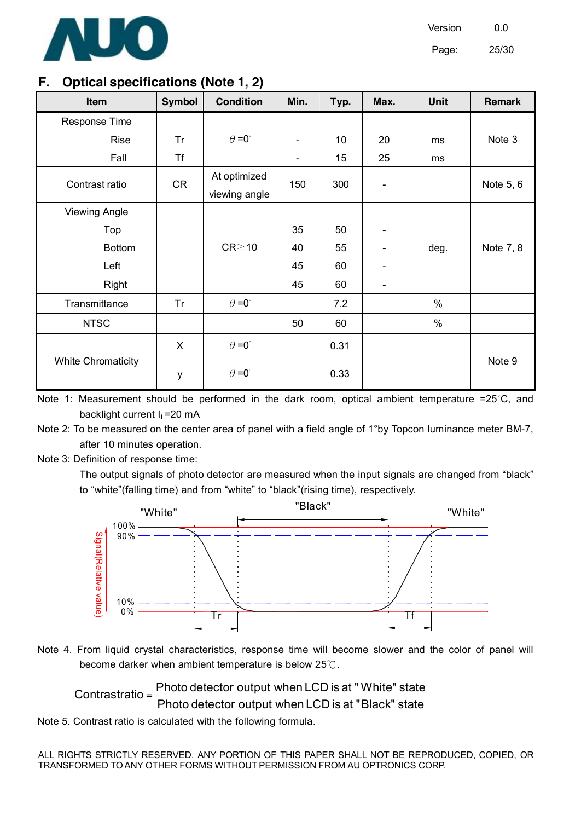

Page: 25/30

### **F. Optical specifications (Note 1, 2)**

| Item                      | <b>Symbol</b> | <b>Condition</b>              | Min.                     | Typ. | Max.                         | <b>Unit</b> | <b>Remark</b> |
|---------------------------|---------------|-------------------------------|--------------------------|------|------------------------------|-------------|---------------|
| Response Time             |               |                               |                          |      |                              |             |               |
| <b>Rise</b>               | Tr            | $\theta = 0^{\circ}$          | $\overline{\phantom{a}}$ | 10   | 20                           | ms          | Note 3        |
| Fall                      | <b>Tf</b>     |                               | -                        | 15   | 25                           | ms          |               |
| Contrast ratio            | <b>CR</b>     | At optimized<br>viewing angle | 150                      | 300  | $\overline{a}$               |             | Note 5, 6     |
| <b>Viewing Angle</b>      |               |                               |                          |      |                              |             |               |
| Top                       |               |                               | 35                       | 50   |                              |             |               |
| <b>Bottom</b>             |               | $CR \ge 10$                   | 40                       | 55   |                              | deg.        | Note 7, 8     |
| Left                      |               |                               | 45                       | 60   |                              |             |               |
| Right                     |               |                               | 45                       | 60   | $\qquad \qquad \blacksquare$ |             |               |
| Transmittance             | Tr            | $\theta = 0^{\circ}$          |                          | 7.2  |                              | $\%$        |               |
| <b>NTSC</b>               |               |                               | 50                       | 60   |                              | $\%$        |               |
|                           | X             | $\theta = 0^{\circ}$          |                          | 0.31 |                              |             |               |
| <b>White Chromaticity</b> | y             | $\theta = 0^{\circ}$          |                          | 0.33 |                              |             | Note 9        |

Note 1: Measurement should be performed in the dark room, optical ambient temperature =25°C, and backlight current  $I_L$ =20 mA

Note 2: To be measured on the center area of panel with a field angle of 1°by Topcon luminance meter BM-7, after 10 minutes operation.

Note 3: Definition of response time:

The output signals of photo detector are measured when the input signals are changed from "black" to "white"(falling time) and from "white" to "black"(rising time), respectively.





Contrastratio = 
$$
\frac{Photo \text{ detector output when LCD is at "White" state}}{Photo \text{ detector output when LCD is at "Black" state})
$$

Note 5. Contrast ratio is calculated with the following formula.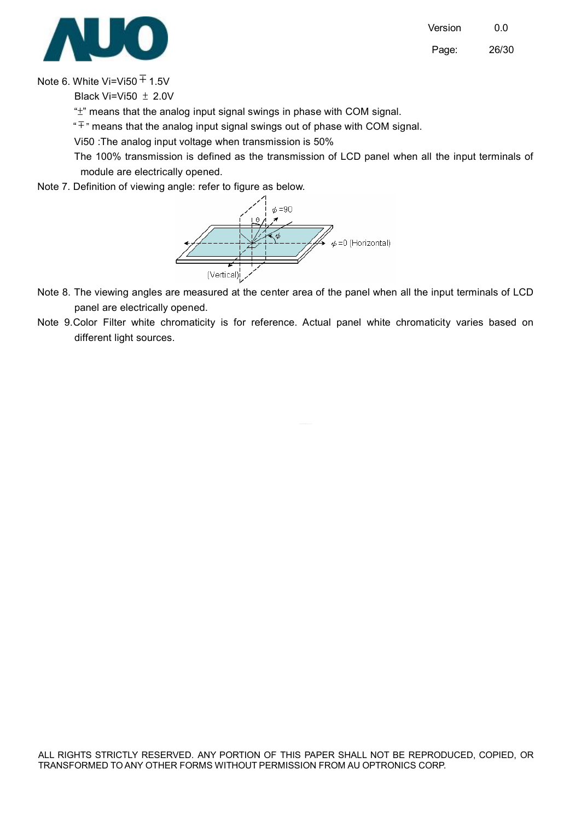Page: 26/30



Note 6. White Vi=Vi50  $\overline{+}$  1.5V

Black Vi=Vi50  $+ 2.0V$ 

"±" means that the analog input signal swings in phase with COM signal.

 $\overline{f}$  means that the analog input signal swings out of phase with COM signal.

Vi50 :The analog input voltage when transmission is 50%

The 100% transmission is defined as the transmission of LCD panel when all the input terminals of module are electrically opened.

Note 7. Definition of viewing angle: refer to figure as below.



- Note 8. The viewing angles are measured at the center area of the panel when all the input terminals of LCD panel are electrically opened.
- Note 9.Color Filter white chromaticity is for reference. Actual panel white chromaticity varies based on different light sources.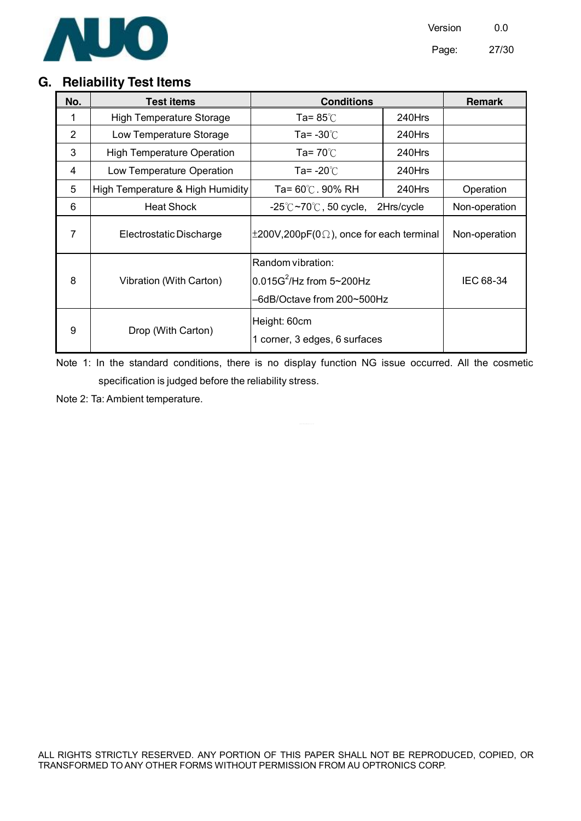

# **G. Reliability Test Items**

| No.            | <b>Test items</b>                 | <b>Conditions</b>                                                              | <b>Remark</b> |               |
|----------------|-----------------------------------|--------------------------------------------------------------------------------|---------------|---------------|
|                | <b>High Temperature Storage</b>   | Ta= $85^\circ$ C                                                               | 240Hrs        |               |
| $\overline{2}$ | Low Temperature Storage           | Ta= -30 $\degree$ C                                                            | 240Hrs        |               |
| 3              | <b>High Temperature Operation</b> | Ta= $70^{\circ}$ C                                                             | 240Hrs        |               |
| 4              | Low Temperature Operation         | Ta= -20℃                                                                       | 240Hrs        |               |
| 5              | High Temperature & High Humidity  | Ta= 60℃. 90% RH                                                                | $240$ Hrs     | Operation     |
| 6              | <b>Heat Shock</b>                 | -25 $^\circ$ C $\sim$ 70 $^\circ$ C, 50 cycle,                                 | 2Hrs/cycle    | Non-operation |
| 7              | Electrostatic Discharge           | $\pm 200V, 200pF(0\Omega)$ , once for each terminal                            |               | Non-operation |
| 8              | Vibration (With Carton)           | Random vibration:<br>$0.015G^2$ /Hz from 5~200Hz<br>-6dB/Octave from 200~500Hz |               | IEC 68-34     |
| 9              | Drop (With Carton)                | Height: 60cm<br>1 corner, 3 edges, 6 surfaces                                  |               |               |

Note 1: In the standard conditions, there is no display function NG issue occurred. All the cosmetic specification is judged before the reliability stress.

Note 2: Ta: Ambient temperature.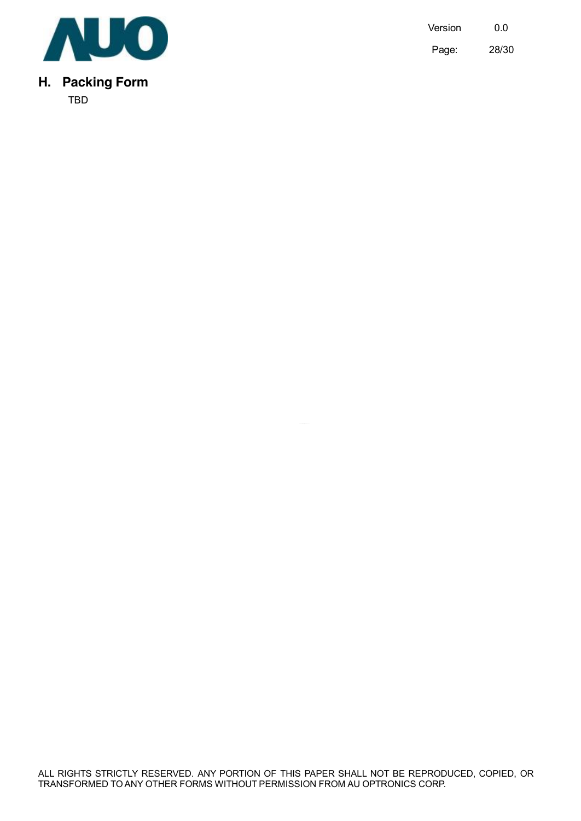

# **H. Packing Form**

TBD

Version 0.0 Page: 28/30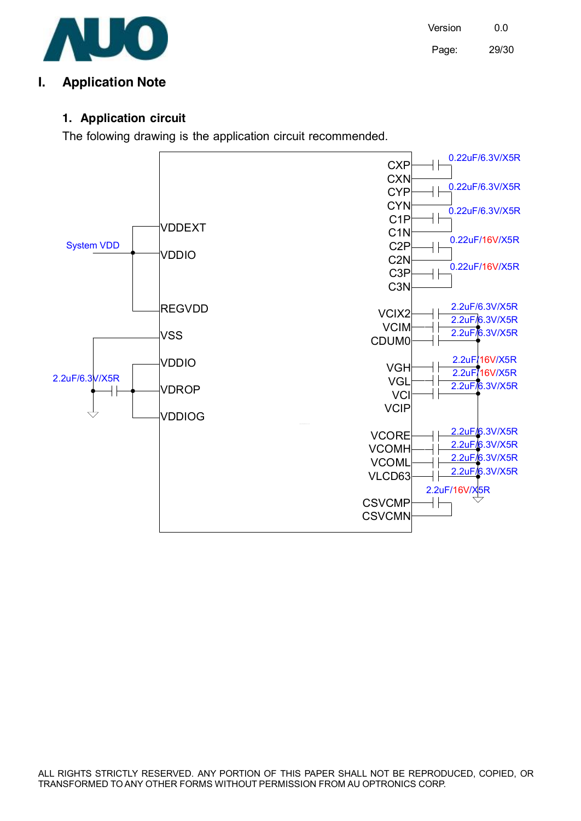

Version 0.0 Page: 29/30

# **I. Application Note**

#### **1. Application circuit**

The folowing drawing is the application circuit recommended.